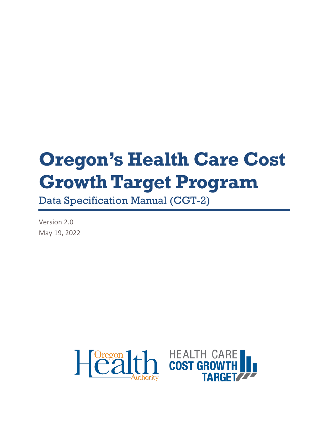# **Oregon's Health Care Cost Growth Target Program**

Data Specification Manual (CGT-2)

Version 2.0 May 19, 2022



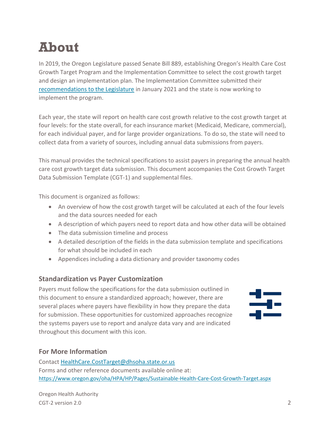## <span id="page-1-0"></span>**About**

In 2019, the Oregon Legislature passed Senate Bill 889, establishing Oregon's Health Care Cost Growth Target Program and the Implementation Committee to select the cost growth target and design an implementation plan. The Implementation Committee submitted their [recommendations to the Legislature](https://www.oregon.gov/oha/HPA/HP/HCCGBDocs/Cost%20Growth%20Target%20Committee%20Recommendations%20Report%20FINAL%2001.25.21.pdf) in January 2021 and the state is now working to implement the program.

Each year, the state will report on health care cost growth relative to the cost growth target at four levels: for the state overall, for each insurance market (Medicaid, Medicare, commercial), for each individual payer, and for large provider organizations. To do so, the state will need to collect data from a variety of sources, including annual data submissions from payers.

This manual provides the technical specifications to assist payers in preparing the annual health care cost growth target data submission. This document accompanies the Cost Growth Target Data Submission Template (CGT-1) and supplemental files.

This document is organized as follows:

- An overview of how the cost growth target will be calculated at each of the four levels and the data sources needed for each
- A description of which payers need to report data and how other data will be obtained
- The data submission timeline and process
- A detailed description of the fields in the data submission template and specifications for what should be included in each
- Appendices including a data dictionary and provider taxonomy codes

#### **Standardization vs Payer Customization**

Payers must follow the specifications for the data submission outlined in this document to ensure a standardized approach; however, there are several places where payers have flexibility in how they prepare the data for submission. These opportunities for customized approaches recognize the systems payers use to report and analyze data vary and are indicated throughout this document with this icon.



#### **For More Information**

Contac[t HealthCare.CostTarget@dhsoha.state.or.us](mailto:HealthCare.CostTarget@dhsoha.state.or.us) Forms and other reference documents available online at: <https://www.oregon.gov/oha/HPA/HP/Pages/Sustainable-Health-Care-Cost-Growth-Target.aspx>

Oregon Health Authority CGT-2 version 2.0 2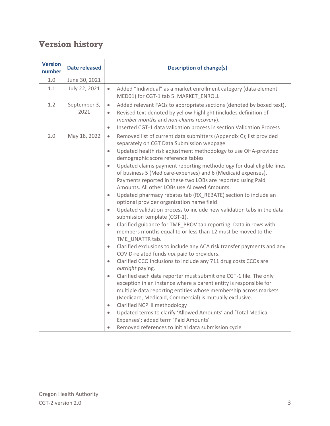## **Version history**

| <b>Version</b><br>number | <b>Date released</b> | <b>Description of change(s)</b>                                                                                                                                                                                                                                                                                                                                                                                                                                                                                                                                                                                                                                                                                                                                                                                                                                                                                                                                                                                                                                                                                                                                                                                                                                                                                                                                                                                                                                                                                                                                                                                                                                                                      |
|--------------------------|----------------------|------------------------------------------------------------------------------------------------------------------------------------------------------------------------------------------------------------------------------------------------------------------------------------------------------------------------------------------------------------------------------------------------------------------------------------------------------------------------------------------------------------------------------------------------------------------------------------------------------------------------------------------------------------------------------------------------------------------------------------------------------------------------------------------------------------------------------------------------------------------------------------------------------------------------------------------------------------------------------------------------------------------------------------------------------------------------------------------------------------------------------------------------------------------------------------------------------------------------------------------------------------------------------------------------------------------------------------------------------------------------------------------------------------------------------------------------------------------------------------------------------------------------------------------------------------------------------------------------------------------------------------------------------------------------------------------------------|
| $1.0$                    | June 30, 2021        |                                                                                                                                                                                                                                                                                                                                                                                                                                                                                                                                                                                                                                                                                                                                                                                                                                                                                                                                                                                                                                                                                                                                                                                                                                                                                                                                                                                                                                                                                                                                                                                                                                                                                                      |
| 1.1                      | July 22, 2021        | Added "Individual" as a market enrollment category (data element<br>$\bullet$<br>MED01) for CGT-1 tab 5. MARKET_ENROLL                                                                                                                                                                                                                                                                                                                                                                                                                                                                                                                                                                                                                                                                                                                                                                                                                                                                                                                                                                                                                                                                                                                                                                                                                                                                                                                                                                                                                                                                                                                                                                               |
| 1.2                      | September 3,<br>2021 | Added relevant FAQs to appropriate sections (denoted by boxed text).<br>$\bullet$<br>Revised text denoted by yellow highlight (includes definition of<br>$\bullet$<br>member months and non-claims recovery).<br>Inserted CGT-1 data validation process in section Validation Process<br>$\bullet$                                                                                                                                                                                                                                                                                                                                                                                                                                                                                                                                                                                                                                                                                                                                                                                                                                                                                                                                                                                                                                                                                                                                                                                                                                                                                                                                                                                                   |
| 2.0                      | May 18, 2022         | Removed list of current data submitters (Appendix C); list provided<br>$\bullet$<br>separately on CGT Data Submission webpage<br>Updated health risk adjustment methodology to use OHA-provided<br>$\bullet$<br>demographic score reference tables<br>Updated claims payment reporting methodology for dual eligible lines<br>$\bullet$<br>of business 5 (Medicare-expenses) and 6 (Medicaid expenses).<br>Payments reported in these two LOBs are reported using Paid<br>Amounts. All other LOBs use Allowed Amounts.<br>Updated pharmacy rebates tab (RX_REBATE) section to include an<br>$\bullet$<br>optional provider organization name field<br>Updated validation process to include new validation tabs in the data<br>$\bullet$<br>submission template (CGT-1).<br>Clarified guidance for TME_PROV tab reporting. Data in rows with<br>$\bullet$<br>members months equal to or less than 12 must be moved to the<br>TME_UNATTR tab.<br>Clarified exclusions to include any ACA risk transfer payments and any<br>$\bullet$<br>COVID-related funds not paid to providers.<br>Clarified CCO inclusions to include any 711 drug costs CCOs are<br>$\bullet$<br>outright paying.<br>Clarified each data reporter must submit one CGT-1 file. The only<br>$\bullet$<br>exception in an instance where a parent entity is responsible for<br>multiple data reporting entities whose membership across markets<br>(Medicare, Medicaid, Commercial) is mutually exclusive.<br>Clarified NCPHI methodology<br>$\bullet$<br>Updated terms to clarify 'Allowed Amounts' and 'Total Medical<br>$\bullet$<br>Expenses'; added term 'Paid Amounts'<br>Removed references to initial data submission cycle |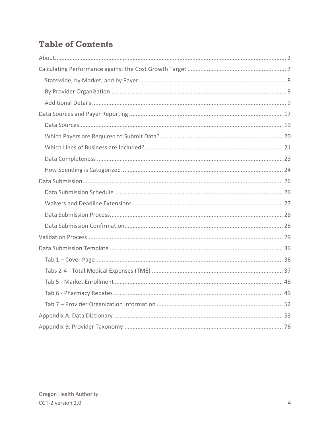## **Table of Contents**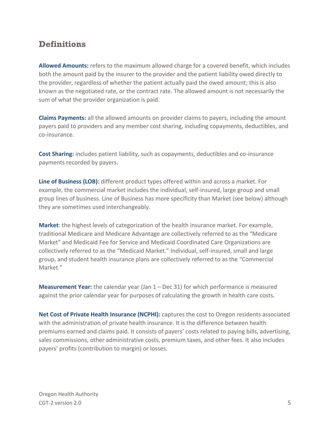### **Definitions**

**Allowed Amounts:** refers to the maximum allowed charge for a covered benefit, which includes both the amount paid by the insurer to the provider and the patient liability owed directly to the provider, regardless of whether the patient actually paid the owed amount; this is also known as the negotiated rate, or the contract rate. The allowed amount is not necessarily the sum of what the provider organization is paid.

**Claims Payments:** all the allowed amounts on provider claims to payers, including the amount payers paid to providers and any member cost sharing, including copayments, deductibles, and co-insurance.

**Cost Sharing:** includes patient liability, such as copayments, deductibles and co-insurance payments recorded by payers.

**Line of Business (LOB):** different product types offered within and across a market. For example, the commercial market includes the individual, self-insured, large group and small group lines of business. Line of Business has more specificity than Market (see below) although they are sometimes used interchangeably.

**Market**: the highest levels of categorization of the health insurance market. For example, traditional Medicare and Medicare Advantage are collectively referred to as the "Medicare Market" and Medicaid Fee for Service and Medicaid Coordinated Care Organizations are collectively referred to as the "Medicaid Market." Individual, self-insured, small and large group, and student health insurance plans are collectively referred to as the "Commercial Market."

**Measurement Year:** the calendar year (Jan 1 – Dec 31) for which performance is measured against the prior calendar year for purposes of calculating the growth in health care costs.

**Net Cost of Private Health Insurance (NCPHI):** captures the cost to Oregon residents associated with the administration of private health insurance. It is the difference between health premiums earned and claims paid. It consists of payers' costs related to paying bills, advertising, sales commissions, other administrative costs, premium taxes, and other fees. It also includes payers' profits (contribution to margin) or losses.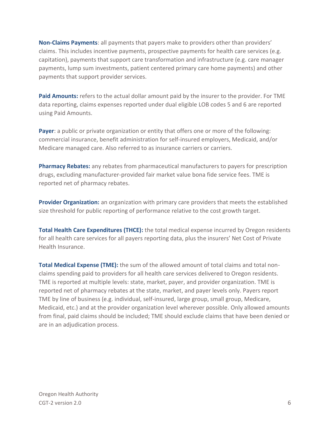**Non-Claims Payments**: all payments that payers make to providers other than providers' claims. This includes incentive payments, prospective payments for health care services (e.g. capitation), payments that support care transformation and infrastructure (e.g. care manager payments, lump sum investments, patient centered primary care home payments) and other payments that support provider services.

**Paid Amounts:** refers to the actual dollar amount paid by the insurer to the provider. For TME data reporting, claims expenses reported under dual eligible LOB codes 5 and 6 are reported using Paid Amounts.

**Payer:** a public or private organization or entity that offers one or more of the following: commercial insurance, benefit administration for self-insured employers, Medicaid, and/or Medicare managed care. Also referred to as insurance carriers or carriers.

**Pharmacy Rebates:** any rebates from pharmaceutical manufacturers to payers for prescription drugs, excluding manufacturer-provided fair market value bona fide service fees. TME is reported net of pharmacy rebates.

**Provider Organization:** an organization with primary care providers that meets the established size threshold for public reporting of performance relative to the cost growth target.

**Total Health Care Expenditures (THCE):** the total medical expense incurred by Oregon residents for all health care services for all payers reporting data, plus the insurers' Net Cost of Private Health Insurance.

**Total Medical Expense (TME):** the sum of the allowed amount of total claims and total nonclaims spending paid to providers for all health care services delivered to Oregon residents. TME is reported at multiple levels: state, market, payer, and provider organization. TME is reported net of pharmacy rebates at the state, market, and payer levels only. Payers report TME by line of business (e.g. individual, self-insured, large group, small group, Medicare, Medicaid, etc.) and at the provider organization level wherever possible. Only allowed amounts from final, paid claims should be included; TME should exclude claims that have been denied or are in an adjudication process.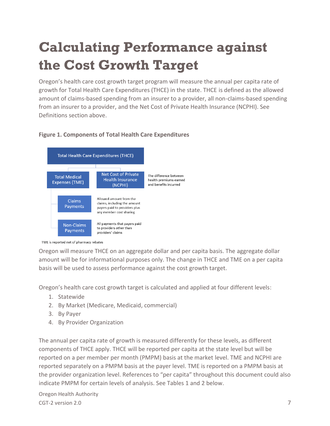## <span id="page-6-0"></span>**Calculating Performance against the Cost Growth Target**

Oregon's health care cost growth target program will measure the annual per capita rate of growth for Total Health Care Expenditures (THCE) in the state. THCE is defined as the allowed amount of claims-based spending from an insurer to a provider, all non-claims-based spending from an insurer to a provider, and the Net Cost of Private Health Insurance (NCPHI). See Definitions section above.

#### **Figure 1. Components of Total Health Care Expenditures**



TME is reported net of pharmacy rebates

Oregon will measure THCE on an aggregate dollar and per capita basis. The aggregate dollar amount will be for informational purposes only. The change in THCE and TME on a per capita basis will be used to assess performance against the cost growth target.

Oregon's health care cost growth target is calculated and applied at four different levels:

- 1. Statewide
- 2. By Market (Medicare, Medicaid, commercial)
- 3. By Payer
- 4. By Provider Organization

The annual per capita rate of growth is measured differently for these levels, as different components of THCE apply. THCE will be reported per capita at the state level but will be reported on a per member per month (PMPM) basis at the market level. TME and NCPHI are reported separately on a PMPM basis at the payer level. TME is reported on a PMPM basis at the provider organization level. References to "per capita" throughout this document could also indicate PMPM for certain levels of analysis. See Tables 1 and 2 below.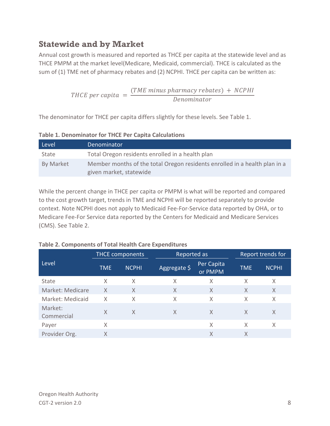## <span id="page-7-0"></span>**Statewide and by Market**

Annual cost growth is measured and reported as THCE per capita at the statewide level and as THCE PMPM at the market level(Medicare, Medicaid, commercial). THCE is calculated as the sum of (1) TME net of pharmacy rebates and (2) NCPHI. THCE per capita can be written as:

> THCE per capita  $=$  $( TME \ minus \ pharmacy \ rebates ) + NCPHI$ Denominator

The denominator for THCE per capita differs slightly for these levels. See Table 1.

| Level     | Denominator                                                                                           |  |
|-----------|-------------------------------------------------------------------------------------------------------|--|
| State     | Total Oregon residents enrolled in a health plan                                                      |  |
| By Market | Member months of the total Oregon residents enrolled in a health plan in a<br>given market, statewide |  |

**Table 1. Denominator for THCE Per Capita Calculations** 

While the percent change in THCE per capita or PMPM is what will be reported and compared to the cost growth target, trends in TME and NCPHI will be reported separately to provide context. Note NCPHI does not apply to Medicaid Fee-For-Service data reported by OHA, or to Medicare Fee-For Service data reported by the Centers for Medicaid and Medicare Services (CMS). See Table 2.

|                       |            | <b>THCE components</b> | Reported as  |                       |            | Report trends for |
|-----------------------|------------|------------------------|--------------|-----------------------|------------|-------------------|
| Level                 | <b>TME</b> | <b>NCPHI</b>           | Aggregate \$ | Per Capita<br>or PMPM | <b>TME</b> | <b>NCPHI</b>      |
| State                 | Χ          | X                      | Χ            | X                     | X          | X                 |
| Market: Medicare      | X          | X                      | X            | X                     | X          | X                 |
| Market: Medicaid      | X          | Χ                      | X            | X                     | X          | X                 |
| Market:<br>Commercial | X          | X                      | X            | X                     | X          | X                 |
| Payer                 | X          |                        |              | X                     | X          | X                 |
| Provider Org.         | X          |                        |              | X                     | X          |                   |

#### **Table 2. Components of Total Health Care Expenditures**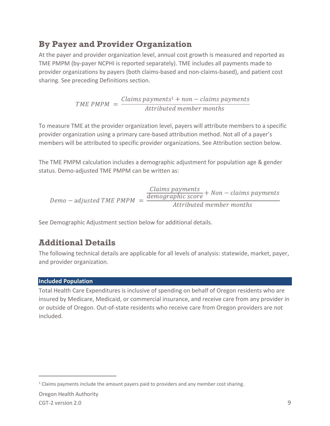## <span id="page-8-0"></span>**By Payer and Provider Organization**

At the payer and provider organization level, annual cost growth is measured and reported as TME PMPM (by-payer NCPHI is reported separately). TME includes all payments made to provider organizations by payers (both claims-based and non-claims-based), and patient cost sharing. See preceding Definitions section.

$$
TME PMPM = \frac{Claims\ payments^{1} + non-clains\ payments}{Attributed\ member\ months}
$$

To measure TME at the provider organization level, payers will attribute members to a specific provider organization using a primary care-based attribution method. Not all of a payer's members will be attributed to specific provider organizations. See Attribution section below.

The TME PMPM calculation includes a demographic adjustment for population age & gender status. Demo-adjusted TME PMPM can be written as:

$$
Demo - adjusted\,TME\,PMPM = \frac{\frac{Claims\,payments}{demographics} + Non - claims\,payments}{Attributed\,member\,months}
$$

See Demographic Adjustment section below for additional details.

### <span id="page-8-1"></span>**Additional Details**

The following technical details are applicable for all levels of analysis: statewide, market, payer, and provider organization.

#### **Included Population**

Total Health Care Expenditures is inclusive of spending on behalf of Oregon residents who are insured by Medicare, Medicaid, or commercial insurance, and receive care from any provider in or outside of Oregon. Out-of-state residents who receive care from Oregon providers are not included.

<sup>1</sup> Claims payments include the amount payers paid to providers and any member cost sharing.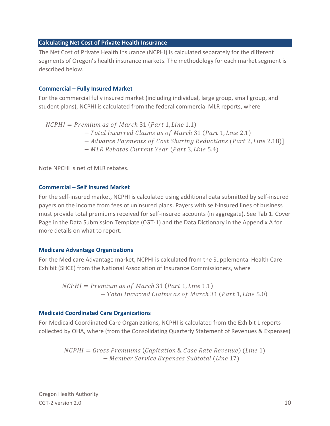#### **Calculating Net Cost of Private Health Insurance**

The Net Cost of Private Health Insurance (NCPHI) is calculated separately for the different segments of Oregon's health insurance markets. The methodology for each market segment is described below.

#### **Commercial – Fully Insured Market**

For the commercial fully insured market (including individual, large group, small group, and student plans), NCPHI is calculated from the federal commercial MLR reports, where

 $NCPHI = Premium$  as of March 31 (Part 1, Line 1.1)

- Total Incurred Claims as of March 31 (Part 1, Line 2.1)
- − Advance Payments of Cost Sharing Reductions (Part 2, Line 2.18)]
- − MLR Rebates Current Year (Part 3, Line 5.4)

Note NPCHI is net of MLR rebates.

#### **Commercial – Self Insured Market**

For the self-insured market, NCPHI is calculated using additional data submitted by self-insured payers on the income from fees of uninsured plans. Payers with self-insured lines of business must provide total premiums received for self-insured accounts (in aggregate). See Tab 1. Cover Page in the Data Submission Template (CGT-1) and the Data Dictionary in the Appendix A for more details on what to report.

#### **Medicare Advantage Organizations**

For the Medicare Advantage market, NCPHI is calculated from the Supplemental Health Care Exhibit (SHCE) from the National Association of Insurance Commissioners, where

 $NCPHI = Premium$  as of March 31 (Part 1, Line 1.1) − Total Incurred Claims as of March 31 (Part 1, Line 5.0)

#### **Medicaid Coordinated Care Organizations**

For Medicaid Coordinated Care Organizations, NCPHI is calculated from the Exhibit L reports collected by OHA, where (from the Consolidating Quarterly Statement of Revenues & Expenses)

 $NCPHI = Gross$  Premiums (Capitation & Case Rate Revenue) (Line 1) − Member Service Expenses Subtotal (Line 17)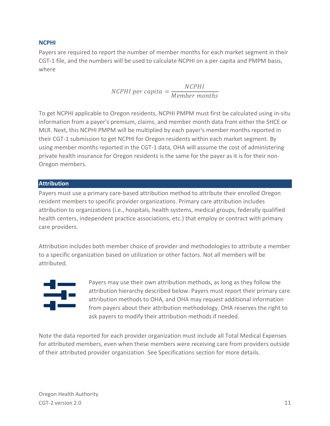#### **NCPHI**

Payers are required to report the number of member months for each market segment in their CGT-1 file, and the numbers will be used to calculate NCPHI on a per capita and PMPM basis, where

> NCPHI per capita = NCPHI Member months

To get NCPHI applicable to Oregon residents, NCPHI PMPM must first be calculated using in-situ information from a payer's premium, claims, and member month data from either the SHCE or MLR. Next, this NCPHI PMPM will be multiplied by each payer's member months reported in their CGT-1 submission to get NCPHI for Oregon residents within each market segment. By using member months reported in the CGT-1 data, OHA will assume the cost of administering private health insurance for Oregon residents is the same for the payer as it is for their non-Oregon members.

#### **Attribution**

Payers must use a primary care-based attribution method to attribute their enrolled Oregon resident members to specific provider organizations. Primary care attribution includes attribution to organizations (i.e., hospitals, health systems, medical groups, federally qualified health centers, independent practice associations, etc.) that employ or contract with primary care providers.

Attribution includes both member choice of provider and methodologies to attribute a member to a specific organization based on utilization or other factors. Not all members will be attributed.



Payers may use their own attribution methods, as long as they follow the attribution hierarchy described below. Payers must report their primary care attribution methods to OHA, and OHA may request additional information from payers about their attribution methodology. OHA reserves the right to ask payers to modify their attribution methods if needed.

Note the data reported for each provider organization must include all Total Medical Expenses for attributed members, even when these members were receiving care from providers outside of their attributed provider organization. See Specifications section for more details.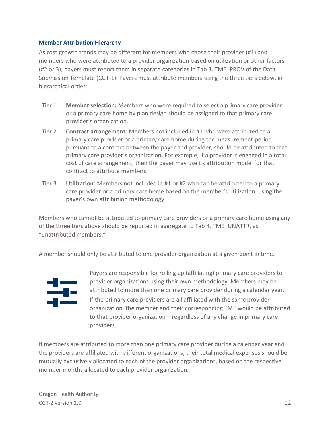#### **Member Attribution Hierarchy**

As cost growth trends may be different for members who chose their provider (#1) and members who were attributed to a provider organization based on utilization or other factors (#2 or 3), payers must report them in separate categories in Tab 3. TME\_PROV of the Data Submission Template (CGT-1). Payers must attribute members using the three tiers below, in hierarchical order:

- Tier 1 **Member selection:** Members who were required to select a primary care provider or a primary care home by plan design should be assigned to that primary care provider's organization.
- Tier 2 **Contract arrangement:** Members not included in #1 who were attributed to a primary care provider or a primary care home during the measurement period pursuant to a contract between the payer and provider, should be attributed to that primary care provider's organization. For example, if a provider is engaged in a total cost of care arrangement, then the payer may use its attribution model for that contract to attribute members.
- Tier 3 **Utilization:** Members not included in #1 or #2 who can be attributed to a primary care provider or a primary care home based on the member's utilization, using the payer's own attribution methodology.

Members who cannot be attributed to primary care providers or a primary care home using any of the three tiers above should be reported in aggregate to Tab 4. TME\_UNATTR, as "unattributed members."

A member should only be attributed to one provider organization at a given point in time.



Payers are responsible for rolling up (affiliating) primary care providers to provider organizations using their own methodology. Members may be attributed to more than one primary care provider during a calendar year. If the primary care providers are all affiliated with the same provider organization, the member and their corresponding TME would be attributed to that provider organization – regardless of any change in primary care providers.

If members are attributed to more than one primary care provider during a calendar year and the providers are affiliated with different organizations, their total medical expenses should be mutually exclusively allocated to each of the provider organizations, based on the respective member months allocated to each provider organization.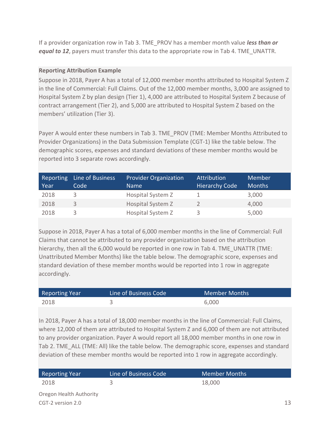If a provider organization row in Tab 3. TME\_PROV has a member month value *less than or equal to 12*, payers must transfer this data to the appropriate row in Tab 4. TME UNATTR.

#### **Reporting Attribution Example**

Suppose in 2018, Payer A has a total of 12,000 member months attributed to Hospital System Z in the line of Commercial: Full Claims. Out of the 12,000 member months, 3,000 are assigned to Hospital System Z by plan design (Tier 1), 4,000 are attributed to Hospital System Z because of contract arrangement (Tier 2), and 5,000 are attributed to Hospital System Z based on the members' utilization (Tier 3).

Payer A would enter these numbers in Tab 3. TME\_PROV (TME: Member Months Attributed to Provider Organizations) in the Data Submission Template (CGT-1) like the table below. The demographic scores, expenses and standard deviations of these member months would be reported into 3 separate rows accordingly.

| Reporting<br>Year | Line of Business<br>Code | <b>Provider Organization</b><br><b>Name</b> | Attribution<br><b>Hierarchy Code</b> | Member<br><b>Months</b> |
|-------------------|--------------------------|---------------------------------------------|--------------------------------------|-------------------------|
| 2018              | 3                        | Hospital System Z                           |                                      | 3,000                   |
| 2018              | 3                        | Hospital System Z                           |                                      | 4,000                   |
| 2018              |                          | Hospital System Z                           |                                      | 5,000                   |

Suppose in 2018, Payer A has a total of 6,000 member months in the line of Commercial: Full Claims that cannot be attributed to any provider organization based on the attribution hierarchy, then all the 6,000 would be reported in one row in Tab 4. TME\_UNATTR (TME: Unattributed Member Months) like the table below. The demographic score, expenses and standard deviation of these member months would be reported into 1 row in aggregate accordingly.

| <b>Reporting Year</b> | Line of Business Code | Member Months |
|-----------------------|-----------------------|---------------|
| 2018                  |                       | 6,000         |

In 2018, Payer A has a total of 18,000 member months in the line of Commercial: Full Claims, where 12,000 of them are attributed to Hospital System Z and 6,000 of them are not attributed to any provider organization. Payer A would report all 18,000 member months in one row in Tab 2. TME\_ALL (TME: All) like the table below. The demographic score, expenses and standard deviation of these member months would be reported into 1 row in aggregate accordingly.

| <b>Reporting Year</b>   | Line of Business Code | Member Months |
|-------------------------|-----------------------|---------------|
| 2018                    |                       | 18,000        |
| Oregon Health Authority |                       |               |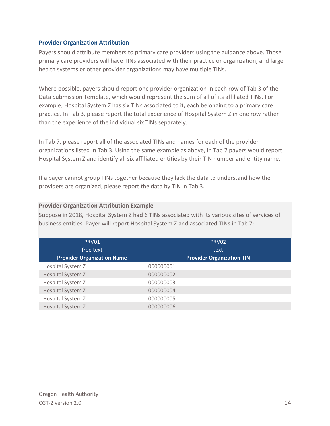#### **Provider Organization Attribution**

Payers should attribute members to primary care providers using the guidance above. Those primary care providers will have TINs associated with their practice or organization, and large health systems or other provider organizations may have multiple TINs.

Where possible, payers should report one provider organization in each row of Tab 3 of the Data Submission Template, which would represent the sum of all of its affiliated TINs. For example, Hospital System Z has six TINs associated to it, each belonging to a primary care practice. In Tab 3, please report the total experience of Hospital System Z in one row rather than the experience of the individual six TINs separately.

In Tab 7, please report all of the associated TINs and names for each of the provider organizations listed in Tab 3. Using the same example as above, in Tab 7 payers would report Hospital System Z and identify all six affiliated entities by their TIN number and entity name.

If a payer cannot group TINs together because they lack the data to understand how the providers are organized, please report the data by TIN in Tab 3.

#### **Provider Organization Attribution Example**

Suppose in 2018, Hospital System Z had 6 TINs associated with its various sites of services of business entities. Payer will report Hospital System Z and associated TINs in Tab 7:

| PRV01<br>free text                | PRV02<br>text                    |  |
|-----------------------------------|----------------------------------|--|
| <b>Provider Organization Name</b> | <b>Provider Organization TIN</b> |  |
| Hospital System Z                 | 000000001                        |  |
| Hospital System Z                 | 000000002                        |  |
| Hospital System Z                 | 000000003                        |  |
| Hospital System Z                 | 000000004                        |  |
| Hospital System Z                 | 000000005                        |  |
| Hospital System Z                 | 000000006                        |  |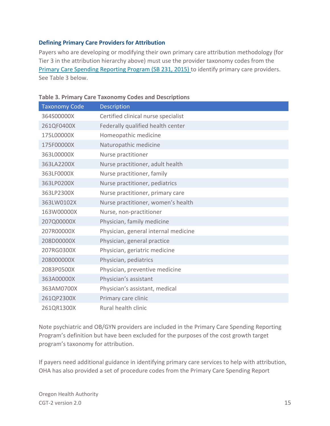#### **Defining Primary Care Providers for Attribution**

Payers who are developing or modifying their own primary care attribution methodology (for Tier 3 in the attribution hierarchy above) must use the provider taxonomy codes from the [Primary Care Spending Reporting Program \(SB 231, 2015\)](https://www.oregon.gov/oha/HPA/ANALYTICS/PCSpendingDocs/2020-Oregon-Primary-Care-Spending-Report-Legislature.pdf) to identify primary care providers. See Table 3 below.

| <b>Taxonomy Code</b> | Description                          |
|----------------------|--------------------------------------|
| 364S00000X           | Certified clinical nurse specialist  |
| 261QF0400X           | Federally qualified health center    |
| 175L00000X           | Homeopathic medicine                 |
| 175F00000X           | Naturopathic medicine                |
| 363L00000X           | Nurse practitioner                   |
| 363LA2200X           | Nurse practitioner, adult health     |
| 363LF0000X           | Nurse practitioner, family           |
| 363LP0200X           | Nurse practitioner, pediatrics       |
| 363LP2300X           | Nurse practitioner, primary care     |
| 363LW0102X           | Nurse practitioner, women's health   |
| 163W00000X           | Nurse, non-practitioner              |
| 207Q00000X           | Physician, family medicine           |
| 207R00000X           | Physician, general internal medicine |
| 208D00000X           | Physician, general practice          |
| 207RG0300X           | Physician, geriatric medicine        |
| 208000000X           | Physician, pediatrics                |
| 2083P0500X           | Physician, preventive medicine       |
| 363A00000X           | Physician's assistant                |
| 363AM0700X           | Physician's assistant, medical       |
| 261QP2300X           | Primary care clinic                  |
| 261QR1300X           | Rural health clinic                  |

**Table 3. Primary Care Taxonomy Codes and Descriptions** 

Note psychiatric and OB/GYN providers are included in the Primary Care Spending Reporting Program's definition but have been excluded for the purposes of the cost growth target program's taxonomy for attribution.

If payers need additional guidance in identifying primary care services to help with attribution, OHA has also provided a set of procedure codes from the Primary Care Spending Report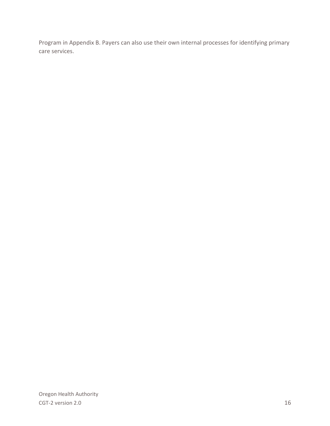Program in Appendix B. Payers can also use their own internal processes for identifying primary care services.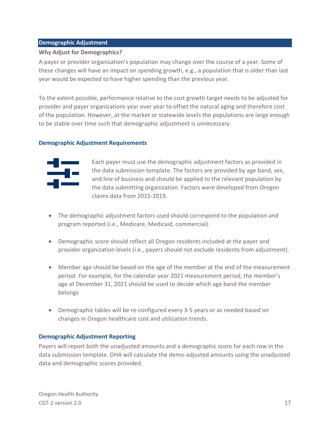#### **Demographic Adjustment**

#### <span id="page-16-0"></span>**Why Adjust for Demographics?**

A payer or provider organization's population may change over the course of a year. Some of these changes will have an impact on spending growth, e.g., a population that is older than last year would be expected to have higher spending than the previous year.

To the extent possible, performance relative to the cost growth target needs to be adjusted for provider and payer organizations year over year to offset the natural aging and therefore cost of the population. However, at the market or statewide levels the populations are large enough to be stable over time such that demographic adjustment is unnecessary.

#### **Demographic Adjustment Requirements**



Each payer must use the demographic adjustment factors as provided in the data submission template. The factors are provided by age band, sex, and line of business and should be applied to the relevant population by the data submitting organization. Factors were developed from Oregon claims data from 2015-2019.

- The demographic adjustment factors used should correspond to the population and program reported (i.e., Medicare, Medicaid, commercial).
- Demographic score should reflect all Oregon residents included at the payer and provider organization levels (i.e., payers should not exclude residents from adjustment).
- Member age should be based on the age of the member at the end of the measurement period. For example, for the calendar year 2021 measurement period, the member's age at December 31, 2021 should be used to decide which age band the member belongs
- Demographic tables will be re-configured every 3-5 years or as needed based on changes in Oregon healthcare cost and utilization trends.

#### **Demographic Adjustment Reporting**

Payers will report both the unadjusted amounts and a demographic score for each row in the data submission template. OHA will calculate the demo-adjusted amounts using the unadjusted data and demographic scores provided.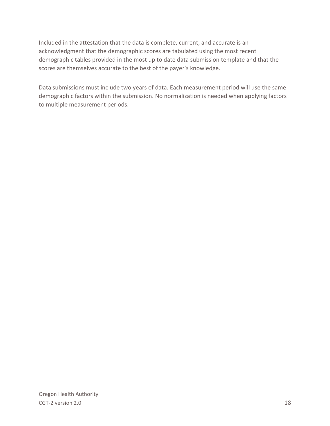Included in the attestation that the data is complete, current, and accurate is an acknowledgment that the demographic scores are tabulated using the most recent demographic tables provided in the most up to date data submission template and that the scores are themselves accurate to the best of the payer's knowledge.

Data submissions must include two years of data. Each measurement period will use the same demographic factors within the submission. No normalization is needed when applying factors to multiple measurement periods.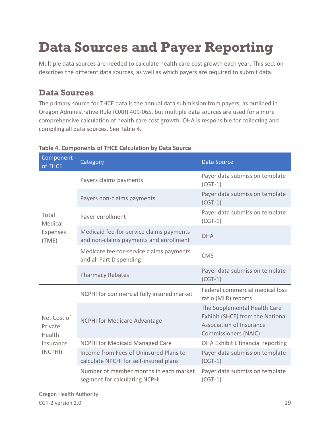## **Data Sources and Payer Reporting**

Multiple data sources are needed to calculate health care cost growth each year. This section describes the different data sources, as well as which payers are required to submit data.

## <span id="page-18-0"></span>**Data Sources**

The primary source for THCE data is the annual data submission from payers, as outlined in Oregon Administrative Rule (OAR) 409-065, but multiple data sources are used for a more comprehensive calculation of health care cost growth. OHA is responsible for collecting and compiling all data sources. See Table 4.

| Component<br>of THCE             | Category                                                                           | <b>Data Source</b>                                                                                                          |
|----------------------------------|------------------------------------------------------------------------------------|-----------------------------------------------------------------------------------------------------------------------------|
|                                  | Payers claims payments                                                             | Payer data submission template<br>$(CGT-1)$                                                                                 |
|                                  | Payers non-claims payments                                                         | Payer data submission template<br>$(CGT-1)$                                                                                 |
| Total<br>Medical                 | Payer enrollment                                                                   | Payer data submission template<br>$(CGT-1)$                                                                                 |
| Expenses<br>(TME)                | Medicaid fee-for-service claims payments<br>and non-claims payments and enrollment | <b>OHA</b>                                                                                                                  |
|                                  | Medicare fee-for-service claims payments<br>and all Part D spending                | <b>CMS</b>                                                                                                                  |
|                                  | <b>Pharmacy Rebates</b>                                                            | Payer data submission template<br>$(CGT-1)$                                                                                 |
|                                  | NCPHI for commercial fully insured market                                          | Federal commercial medical loss<br>ratio (MLR) reports                                                                      |
| Net Cost of<br>Private<br>Health | <b>NCPHI for Medicare Advantage</b>                                                | The Supplemental Health Care<br>Exhibit (SHCE) from the National<br>Association of Insurance<br><b>Commissioners (NAIC)</b> |
| Insurance<br>(NCPHI)             | <b>NCPHI for Medicaid Managed Care</b>                                             | OHA Exhibit L financial reporting                                                                                           |
|                                  | Income from Fees of Uninsured Plans to<br>calculate NPCHI for self-insured plans   | Payer data submission template<br>$(CGT-1)$                                                                                 |
|                                  | Number of member months in each market<br>segment for calculating NCPHI            | Payer data submission template<br>$(CGT-1)$                                                                                 |

#### **Table 4. Components of THCE Calculation by Data Source**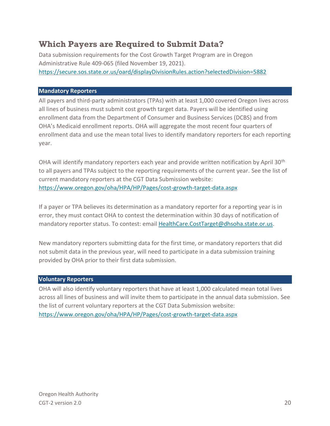### <span id="page-19-0"></span>**Which Payers are Required to Submit Data?**

Data submission requirements for the Cost Growth Target Program are in Oregon Administrative Rule 409-065 (filed November 19, 2021). <https://secure.sos.state.or.us/oard/displayDivisionRules.action?selectedDivision=5882>

#### **Mandatory Reporters**

All payers and third-party administrators (TPAs) with at least 1,000 covered Oregon lives across all lines of business must submit cost growth target data. Payers will be identified using enrollment data from the Department of Consumer and Business Services (DCBS) and from OHA's Medicaid enrollment reports. OHA will aggregate the most recent four quarters of enrollment data and use the mean total lives to identify mandatory reporters for each reporting year.

OHA will identify mandatory reporters each year and provide written notification by April 30<sup>th</sup> to all payers and TPAs subject to the reporting requirements of the current year. See the list of current mandatory reporters at the CGT Data Submission website: <https://www.oregon.gov/oha/HPA/HP/Pages/cost-growth-target-data.aspx>

If a payer or TPA believes its determination as a mandatory reporter for a reporting year is in error, they must contact OHA to contest the determination within 30 days of notification of mandatory reporter status. To contest: email [HealthCare.CostTarget@dhsoha.state.or.us.](mailto:HealthCare.CostTarget@dhsoha.state.or.us)

New mandatory reporters submitting data for the first time, or mandatory reporters that did not submit data in the previous year, will need to participate in a data submission training provided by OHA prior to their first data submission.

#### **Voluntary Reporters**

OHA will also identify voluntary reporters that have at least 1,000 calculated mean total lives across all lines of business and will invite them to participate in the annual data submission. See the list of current voluntary reporters at the CGT Data Submission website: <https://www.oregon.gov/oha/HPA/HP/Pages/cost-growth-target-data.aspx>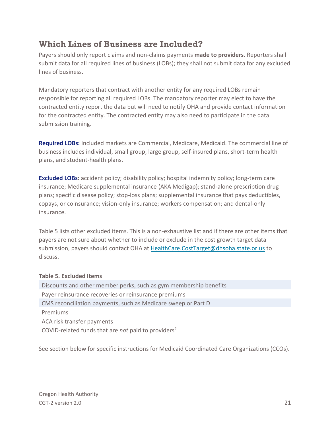## <span id="page-20-0"></span>**Which Lines of Business are Included?**

Payers should only report claims and non-claims payments **made to providers**. Reporters shall submit data for all required lines of business (LOBs); they shall not submit data for any excluded lines of business.

Mandatory reporters that contract with another entity for any required LOBs remain responsible for reporting all required LOBs. The mandatory reporter may elect to have the contracted entity report the data but will need to notify OHA and provide contact information for the contracted entity. The contracted entity may also need to participate in the data submission training.

**Required LOBs:** Included markets are Commercial, Medicare, Medicaid. The commercial line of business includes individual, small group, large group, self-insured plans, short-term health plans, and student-health plans.

**Excluded LOBs:** accident policy; disability policy; hospital indemnity policy; long-term care insurance; Medicare supplemental insurance (AKA Medigap); stand-alone prescription drug plans; specific disease policy; stop-loss plans; supplemental insurance that pays deductibles, copays, or coinsurance; vision-only insurance; workers compensation; and dental-only insurance.

Table 5 lists other excluded items. This is a non-exhaustive list and if there are other items that payers are not sure about whether to include or exclude in the cost growth target data submission, payers should contact OHA at [HealthCare.CostTarget@dhsoha.state.or.us](mailto:HealthCare.CostTarget@dhsoha.state.or.us) to discuss.

#### **Table 5. Excluded Items**

Discounts and other member perks, such as gym membership benefits Payer reinsurance recoveries or reinsurance premiums CMS reconciliation payments, such as Medicare sweep or Part D Premiums ACA risk transfer payments COVID-related funds that are *not* paid to providers<sup>2</sup>

See section below for specific instructions for Medicaid Coordinated Care Organizations (CCOs).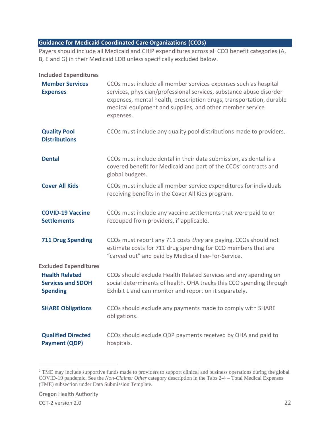#### **Guidance for Medicaid Coordinated Care Organizations (CCOs)**

Payers should include all Medicaid and CHIP expenditures across all CCO benefit categories (A, B, E and G) in their Medicaid LOB unless specifically excluded below.

#### **Included Expenditures**

| <b>Member Services</b><br><b>Expenses</b>                            | CCOs must include all member services expenses such as hospital<br>services, physician/professional services, substance abuse disorder<br>expenses, mental health, prescription drugs, transportation, durable<br>medical equipment and supplies, and other member service<br>expenses. |
|----------------------------------------------------------------------|-----------------------------------------------------------------------------------------------------------------------------------------------------------------------------------------------------------------------------------------------------------------------------------------|
| <b>Quality Pool</b><br><b>Distributions</b>                          | CCOs must include any quality pool distributions made to providers.                                                                                                                                                                                                                     |
| <b>Dental</b>                                                        | CCOs must include dental in their data submission, as dental is a<br>covered benefit for Medicaid and part of the CCOs' contracts and<br>global budgets.                                                                                                                                |
| <b>Cover All Kids</b>                                                | CCOs must include all member service expenditures for individuals<br>receiving benefits in the Cover All Kids program.                                                                                                                                                                  |
| <b>COVID-19 Vaccine</b><br><b>Settlements</b>                        | CCOs must include any vaccine settlements that were paid to or<br>recouped from providers, if applicable.                                                                                                                                                                               |
| <b>711 Drug Spending</b>                                             | CCOs must report any 711 costs they are paying. CCOs should not<br>estimate costs for 711 drug spending for CCO members that are<br>"carved out" and paid by Medicaid Fee-For-Service.                                                                                                  |
| <b>Excluded Expenditures</b>                                         |                                                                                                                                                                                                                                                                                         |
| <b>Health Related</b><br><b>Services and SDOH</b><br><b>Spending</b> | CCOs should exclude Health Related Services and any spending on<br>social determinants of health. OHA tracks this CCO spending through<br>Exhibit L and can monitor and report on it separately.                                                                                        |
| <b>SHARE Obligations</b>                                             | CCOs should exclude any payments made to comply with SHARE<br>obligations.                                                                                                                                                                                                              |
| <b>Qualified Directed</b><br><b>Payment (QDP)</b>                    | CCOs should exclude QDP payments received by OHA and paid to<br>hospitals.                                                                                                                                                                                                              |

<sup>&</sup>lt;sup>2</sup> TME may include supportive funds made to providers to support clinical and business operations during the global COVID-19 pandemic. See the *Non-Claims: Other* category description in the Tabs 2-4 – Total Medical Expenses (TME) subsection under Data Submission Template.

Oregon Health Authority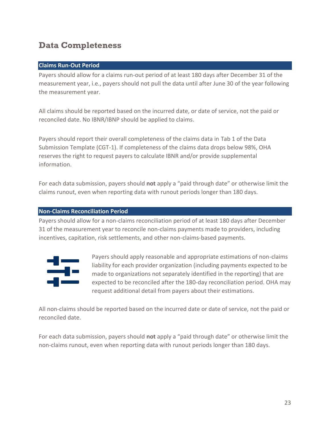## <span id="page-22-0"></span>**Data Completeness**

#### **Claims Run-Out Period**

Payers should allow for a claims run-out period of at least 180 days after December 31 of the measurement year, i.e., payers should not pull the data until after June 30 of the year following the measurement year.

All claims should be reported based on the incurred date, or date of service, not the paid or reconciled date. No IBNR/IBNP should be applied to claims.

Payers should report their overall completeness of the claims data in Tab 1 of the Data Submission Template (CGT-1). If completeness of the claims data drops below 98%, OHA reserves the right to request payers to calculate IBNR and/or provide supplemental information.

For each data submission, payers should **not** apply a "paid through date" or otherwise limit the claims runout, even when reporting data with runout periods longer than 180 days.

#### **Non-Claims Reconciliation Period**

Payers should allow for a non-claims reconciliation period of at least 180 days after December 31 of the measurement year to reconcile non-claims payments made to providers, including incentives, capitation, risk settlements, and other non-claims-based payments.



Payers should apply reasonable and appropriate estimations of non-claims liability for each provider organization (including payments expected to be made to organizations not separately identified in the reporting) that are expected to be reconciled after the 180-day reconciliation period. OHA may request additional detail from payers about their estimations.

All non-claims should be reported based on the incurred date or date of service, not the paid or reconciled date.

For each data submission, payers should **not** apply a "paid through date" or otherwise limit the non-claims runout, even when reporting data with runout periods longer than 180 days.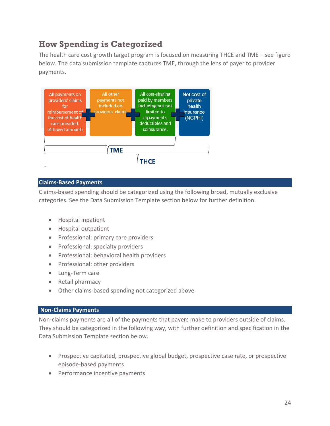## <span id="page-23-0"></span>**How Spending is Categorized**

The health care cost growth target program is focused on measuring THCE and TME – see figure below. The data submission template captures TME, through the lens of payer to provider payments.



#### **Claims-Based Payments**

Claims-based spending should be categorized using the following broad, mutually exclusive categories. See the Data Submission Template section below for further definition.

- Hospital inpatient
- Hospital outpatient
- Professional: primary care providers
- Professional: specialty providers
- Professional: behavioral health providers
- Professional: other providers
- Long-Term care
- Retail pharmacy
- Other claims-based spending not categorized above

#### **Non-Claims Payments**

Non-claims payments are all of the payments that payers make to providers outside of claims. They should be categorized in the following way, with further definition and specification in the Data Submission Template section below.

- Prospective capitated, prospective global budget, prospective case rate, or prospective episode-based payments
- Performance incentive payments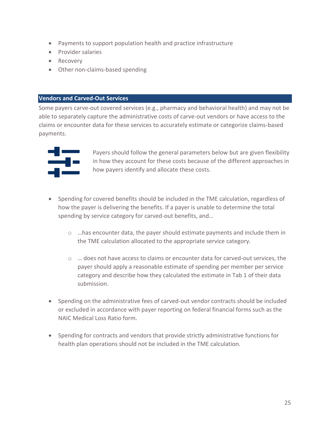- Payments to support population health and practice infrastructure
- Provider salaries
- Recovery
- Other non-claims-based spending

#### **Vendors and Carved-Out Services**

Some payers carve-out covered services (e.g., pharmacy and behavioral health) and may not be able to separately capture the administrative costs of carve-out vendors or have access to the claims or encounter data for these services to accurately estimate or categorize claims-based payments.



Payers should follow the general parameters below but are given flexibility in how they account for these costs because of the different approaches in how payers identify and allocate these costs.

- Spending for covered benefits should be included in the TME calculation, regardless of how the payer is delivering the benefits. If a payer is unable to determine the total spending by service category for carved-out benefits, and…
	- $\circ$  ... has encounter data, the payer should estimate payments and include them in the TME calculation allocated to the appropriate service category.
	- $\circ$   $\ldots$  does not have access to claims or encounter data for carved-out services, the payer should apply a reasonable estimate of spending per member per service category and describe how they calculated the estimate in Tab 1 of their data submission.
- Spending on the administrative fees of carved-out vendor contracts should be included or excluded in accordance with payer reporting on federal financial forms such as the NAIC Medical Loss Ratio form.
- Spending for contracts and vendors that provide strictly administrative functions for health plan operations should not be included in the TME calculation.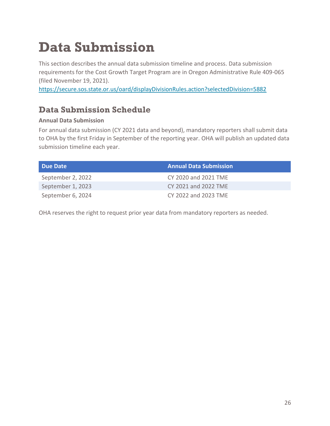## <span id="page-25-0"></span>**Data Submission**

This section describes the annual data submission timeline and process. Data submission requirements for the Cost Growth Target Program are in Oregon Administrative Rule 409-065 (filed November 19, 2021).

<https://secure.sos.state.or.us/oard/displayDivisionRules.action?selectedDivision=5882>

## <span id="page-25-1"></span>**Data Submission Schedule**

#### **Annual Data Submission**

For annual data submission (CY 2021 data and beyond), mandatory reporters shall submit data to OHA by the first Friday in September of the reporting year. OHA will publish an updated data submission timeline each year.

| Due Date          | <b>Annual Data Submission</b> |
|-------------------|-------------------------------|
| September 2, 2022 | CY 2020 and 2021 TME          |
| September 1, 2023 | CY 2021 and 2022 TME          |
| September 6, 2024 | CY 2022 and 2023 TME          |

OHA reserves the right to request prior year data from mandatory reporters as needed.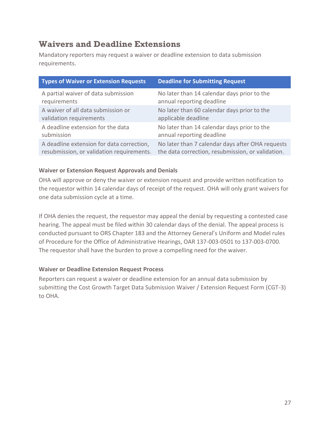## <span id="page-26-0"></span>**Waivers and Deadline Extensions**

Mandatory reporters may request a waiver or deadline extension to data submission requirements.

| <b>Types of Waiver or Extension Requests</b> | <b>Deadline for Submitting Request</b>            |
|----------------------------------------------|---------------------------------------------------|
| A partial waiver of data submission          | No later than 14 calendar days prior to the       |
| requirements                                 | annual reporting deadline                         |
| A waiver of all data submission or           | No later than 60 calendar days prior to the       |
| validation requirements                      | applicable deadline                               |
| A deadline extension for the data            | No later than 14 calendar days prior to the       |
| submission                                   | annual reporting deadline                         |
| A deadline extension for data correction,    | No later than 7 calendar days after OHA requests  |
| resubmission, or validation requirements.    | the data correction, resubmission, or validation. |

#### **Waiver or Extension Request Approvals and Denials**

OHA will approve or deny the waiver or extension request and provide written notification to the requestor within 14 calendar days of receipt of the request. OHA will only grant waivers for one data submission cycle at a time.

If OHA denies the request, the requestor may appeal the denial by requesting a contested case hearing. The appeal must be filed within 30 calendar days of the denial. The appeal process is conducted pursuant to ORS Chapter 183 and the Attorney General's Uniform and Model rules of Procedure for the Office of Administrative Hearings, OAR 137-003-0501 to 137-003-0700. The requestor shall have the burden to prove a compelling need for the waiver.

#### **Waiver or Deadline Extension Request Process**

Reporters can request a waiver or deadline extension for an annual data submission by submitting the Cost Growth Target Data Submission Waiver / Extension Request Form (CGT-3) to OHA.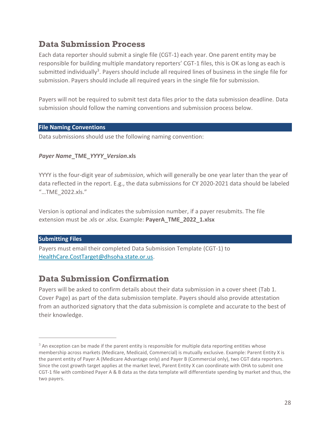### <span id="page-27-0"></span>**Data Submission Process**

Each data reporter should submit a single file (CGT-1) each year. One parent entity may be responsible for building multiple mandatory reporters' CGT-1 files, this is OK as long as each is submitted individually<sup>3</sup>. Payers should include all required lines of business in the single file for submission. Payers should include all required years in the single file for submission.

Payers will not be required to submit test data files prior to the data submission deadline. Data submission should follow the naming conventions and submission process below.

#### **File Naming Conventions**

Data submissions should use the following naming convention:

#### *Payer Name***\_TME\_***YYYY***\_***Version***.xls**

YYYY is the four-digit year of *submission*, which will generally be one year later than the year of data reflected in the report. E.g., the data submissions for CY 2020-2021 data should be labeled "…TME\_2022.xls."

Version is optional and indicates the submission number, if a payer resubmits. The file extension must be .xls or .xlsx. Example: **PayerA\_TME\_2022\_1.xlsx**

#### **Submitting Files**

Payers must email their completed Data Submission Template (CGT-1) to [HealthCare.CostTarget@dhsoha.state.or.us.](mailto:HealthCare.CostTarget@dhsoha.state.or.us)

### <span id="page-27-1"></span>**Data Submission Confirmation**

Payers will be asked to confirm details about their data submission in a cover sheet (Tab 1. Cover Page) as part of the data submission template. Payers should also provide attestation from an authorized signatory that the data submission is complete and accurate to the best of their knowledge.

<sup>&</sup>lt;sup>3</sup> An exception can be made if the parent entity is responsible for multiple data reporting entities whose membership across markets (Medicare, Medicaid, Commercial) is mutually exclusive. Example: Parent Entity X is the parent entity of Payer A (Medicare Advantage only) and Payer B (Commercial only), two CGT data reporters. Since the cost growth target applies at the market level, Parent Entity X can coordinate with OHA to submit one CGT-1 file with combined Payer A & B data as the data template will differentiate spending by market and thus, the two payers.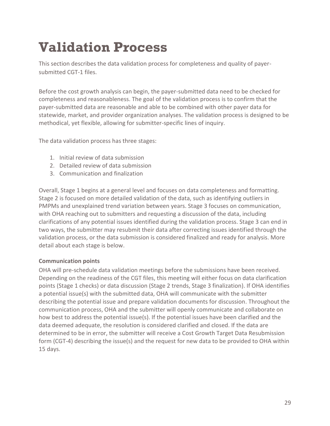## <span id="page-28-0"></span>**Validation Process**

This section describes the data validation process for completeness and quality of payersubmitted CGT-1 files.

Before the cost growth analysis can begin, the payer-submitted data need to be checked for completeness and reasonableness. The goal of the validation process is to confirm that the payer-submitted data are reasonable and able to be combined with other payer data for statewide, market, and provider organization analyses. The validation process is designed to be methodical, yet flexible, allowing for submitter-specific lines of inquiry.

The data validation process has three stages:

- 1. Initial review of data submission
- 2. Detailed review of data submission
- 3. Communication and finalization

Overall, Stage 1 begins at a general level and focuses on data completeness and formatting. Stage 2 is focused on more detailed validation of the data, such as identifying outliers in PMPMs and unexplained trend variation between years. Stage 3 focuses on communication, with OHA reaching out to submitters and requesting a discussion of the data, including clarifications of any potential issues identified during the validation process. Stage 3 can end in two ways, the submitter may resubmit their data after correcting issues identified through the validation process, or the data submission is considered finalized and ready for analysis. More detail about each stage is below.

#### **Communication points**

OHA will pre-schedule data validation meetings before the submissions have been received. Depending on the readiness of the CGT files, this meeting will either focus on data clarification points (Stage 1 checks) or data discussion (Stage 2 trends, Stage 3 finalization). If OHA identifies a potential issue(s) with the submitted data, OHA will communicate with the submitter describing the potential issue and prepare validation documents for discussion. Throughout the communication process, OHA and the submitter will openly communicate and collaborate on how best to address the potential issue(s). If the potential issues have been clarified and the data deemed adequate, the resolution is considered clarified and closed. If the data are determined to be in error, the submitter will receive a Cost Growth Target Data Resubmission form (CGT-4) describing the issue(s) and the request for new data to be provided to OHA within 15 days.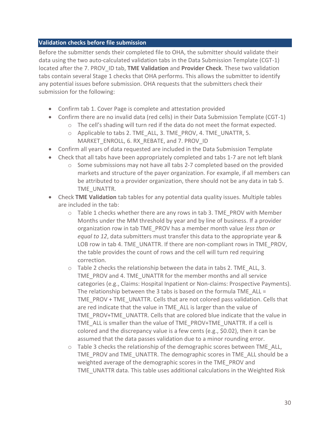#### **Validation checks before file submission**

Before the submitter sends their completed file to OHA, the submitter should validate their data using the two auto-calculated validation tabs in the Data Submission Template (CGT-1) located after the 7. PROV\_ID tab, **TME Validation** and **Provider Check**. These two validation tabs contain several Stage 1 checks that OHA performs. This allows the submitter to identify any potential issues before submission. OHA requests that the submitters check their submission for the following:

- Confirm tab 1. Cover Page is complete and attestation provided
- Confirm there are no invalid data (red cells) in their Data Submission Template (CGT-1)
	- o The cell's shading will turn red if the data do not meet the format expected.
	- o Applicable to tabs 2. TME\_ALL, 3. TME\_PROV, 4. TME\_UNATTR, 5. MARKET\_ENROLL, 6. RX\_REBATE, and 7. PROV\_ID
- Confirm all years of data requested are included in the Data Submission Template
- Check that all tabs have been appropriately completed and tabs 1-7 are not left blank
	- $\circ$  Some submissions may not have all tabs 2-7 completed based on the provided markets and structure of the payer organization. For example, if all members can be attributed to a provider organization, there should not be any data in tab 5. TME\_UNATTR.
- Check **TME Validation** tab tables for any potential data quality issues. Multiple tables are included in the tab:
	- $\circ$  Table 1 checks whether there are any rows in tab 3. TME\_PROV with Member Months under the MM threshold by year and by line of business. If a provider organization row in tab TME\_PROV has a member month value *less than or equal to 12*, data submitters must transfer this data to the appropriate year & LOB row in tab 4. TME\_UNATTR. If there are non-compliant rows in TME\_PROV, the table provides the count of rows and the cell will turn red requiring correction.
	- o Table 2 checks the relationship between the data in tabs 2. TME\_ALL, 3. TME\_PROV and 4. TME\_UNATTR for the member months and all service categories (e.g., Claims: Hospital Inpatient or Non-claims: Prospective Payments). The relationship between the 3 tabs is based on the formula TME\_ALL = TME\_PROV + TME\_UNATTR. Cells that are not colored pass validation. Cells that are red indicate that the value in TME\_ALL is larger than the value of TME\_PROV+TME\_UNATTR. Cells that are colored blue indicate that the value in TME\_ALL is smaller than the value of TME\_PROV+TME\_UNATTR. If a cell is colored and the discrepancy value is a few cents (e.g., \$0.02), then it can be assumed that the data passes validation due to a minor rounding error.
	- $\circ$  Table 3 checks the relationship of the demographic scores between TME ALL, TME\_PROV and TME\_UNATTR. The demographic scores in TME\_ALL should be a weighted average of the demographic scores in the TME\_PROV and TME\_UNATTR data. This table uses additional calculations in the Weighted Risk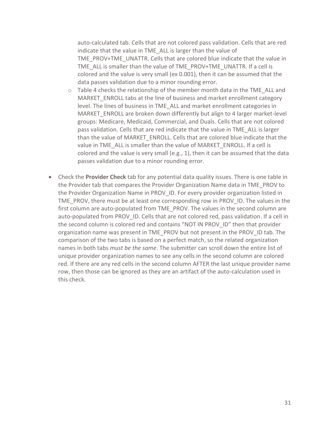auto-calculated tab. Cells that are not colored pass validation. Cells that are red indicate that the value in TME\_ALL is larger than the value of TME\_PROV+TME\_UNATTR. Cells that are colored blue indicate that the value in TME\_ALL is smaller than the value of TME\_PROV+TME\_UNATTR. If a cell is colored and the value is very small (ex 0.001), then it can be assumed that the data passes validation due to a minor rounding error.

- $\circ$  Table 4 checks the relationship of the member month data in the TME ALL and MARKET\_ENROLL tabs at the line of business and market enrollment category level. The lines of business in TME\_ALL and market enrollment categories in MARKET\_ENROLL are broken down differently but align to 4 larger market-level groups: Medicare, Medicaid, Commercial, and Duals. Cells that are not colored pass validation. Cells that are red indicate that the value in TME\_ALL is larger than the value of MARKET\_ENROLL. Cells that are colored blue indicate that the value in TME\_ALL is smaller than the value of MARKET\_ENROLL. If a cell is colored and the value is very small (e.g., 1), then it can be assumed that the data passes validation due to a minor rounding error.
- Check the **Provider Check** tab for any potential data quality issues. There is one table in the Provider tab that compares the Provider Organization Name data in TME\_PROV to the Provider Organization Name in PROV ID. For every provider organization listed in TME\_PROV, there must be at least one corresponding row in PROV\_ID. The values in the first column are auto-populated from TME\_PROV. The values in the second column are auto-populated from PROV ID. Cells that are not colored red, pass validation. If a cell in the second column is colored red and contains "NOT IN PROV\_ID" then that provider organization name was present in TME\_PROV but not present in the PROV\_ID tab. The comparison of the two tabs is based on a perfect match, so the related organization names in both tabs *must be the same*. The submitter can scroll down the entire list of unique provider organization names to see any cells in the second column are colored red. If there are any red cells in the second column AFTER the last unique provider name row, then those can be ignored as they are an artifact of the auto-calculation used in this check.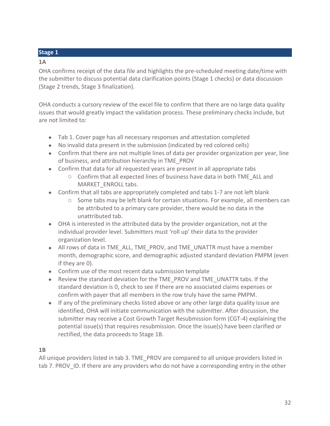#### **Stage 1**

#### **1A**

OHA confirms receipt of the data file and highlights the pre-scheduled meeting date/time with the submitter to discuss potential data clarification points (Stage 1 checks) or data discussion (Stage 2 trends, Stage 3 finalization).

OHA conducts a cursory review of the excel file to confirm that there are no large data quality issues that would greatly impact the validation process. These preliminary checks include, but are not limited to:

- Tab 1. Cover page has all necessary responses and attestation completed
- No invalid data present in the submission (indicated by red colored cells)
- Confirm that there are not multiple lines of data per provider organization per year, line of business, and attribution hierarchy in TME\_PROV
- Confirm that data for all requested years are present in all appropriate tabs
	- $\circ$  Confirm that all expected lines of business have data in both TME ALL and MARKET\_ENROLL tabs.
- Confirm that all tabs are appropriately completed and tabs 1-7 are not left blank
	- $\circ$  Some tabs may be left blank for certain situations. For example, all members can be attributed to a primary care provider, there would be no data in the unattributed tab.
- OHA is interested in the attributed data by the provider organization, not at the individual provider level. Submitters must 'roll up' their data to the provider organization level.
- All rows of data in TME\_ALL, TME\_PROV, and TME\_UNATTR must have a member month, demographic score, and demographic adjusted standard deviation PMPM (even if they are 0).
- Confirm use of the most recent data submission template
- Review the standard deviation for the TME\_PROV and TME\_UNATTR tabs. If the standard deviation is 0, check to see if there are no associated claims expenses or confirm with payer that all members in the row truly have the same PMPM.
- If any of the preliminary checks listed above or any other large data quality issue are identified, OHA will initiate communication with the submitter. After discussion, the submitter may receive a Cost Growth Target Resubmission form (CGT-4) explaining the potential issue(s) that requires resubmission. Once the issue(s) have been clarified or rectified, the data proceeds to Stage 1B.

#### **1B**

All unique providers listed in tab 3. TME\_PROV are compared to all unique providers listed in tab 7. PROV ID. If there are any providers who do not have a corresponding entry in the other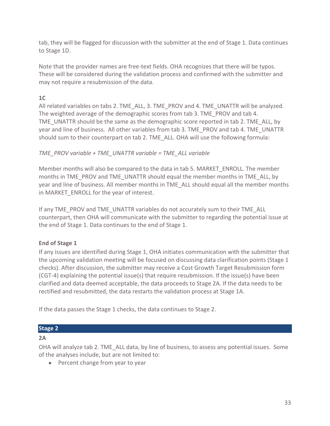tab, they will be flagged for discussion with the submitter at the end of Stage 1. Data continues to Stage 1D.

Note that the provider names are free-text fields. OHA recognizes that there will be typos. These will be considered during the validation process and confirmed with the submitter and may not require a resubmission of the data.

#### **1C**

All related variables on tabs 2. TME\_ALL, 3. TME\_PROV and 4. TME\_UNATTR will be analyzed. The weighted average of the demographic scores from tab 3. TME\_PROV and tab 4. TME\_UNATTR should be the same as the demographic score reported in tab 2. TME\_ALL, by year and line of business. All other variables from tab 3. TME\_PROV and tab 4. TME\_UNATTR should sum to their counterpart on tab 2. TME\_ALL. OHA will use the following formula:

#### *TME\_PROV variable + TME\_UNATTR variable = TME\_ALL variable*

Member months will also be compared to the data in tab 5. MARKET\_ENROLL. The member months in TME\_PROV and TME\_UNATTR should equal the member months in TME\_ALL, by year and line of business. All member months in TME\_ALL should equal all the member months in MARKET ENROLL for the year of interest.

If any TME\_PROV and TME\_UNATTR variables do not accurately sum to their TME\_ALL counterpart, then OHA will communicate with the submitter to regarding the potential issue at the end of Stage 1. Data continues to the end of Stage 1.

#### **End of Stage 1**

If any issues are identified during Stage 1, OHA initiates communication with the submitter that the upcoming validation meeting will be focused on discussing data clarification points (Stage 1 checks). After discussion, the submitter may receive a Cost Growth Target Resubmission form (CGT-4) explaining the potential issue(s) that require resubmission. If the issue(s) have been clarified and data deemed acceptable, the data proceeds to Stage 2A. If the data needs to be rectified and resubmitted, the data restarts the validation process at Stage 1A.

If the data passes the Stage 1 checks, the data continues to Stage 2.

#### **Stage 2**

#### **2A**

OHA will analyze tab 2. TME\_ALL data, by line of business, to assess any potential issues. Some of the analyses include, but are not limited to:

• Percent change from year to year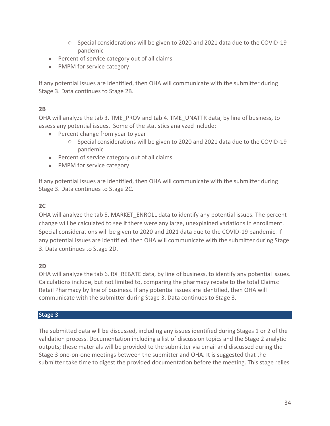- o Special considerations will be given to 2020 and 2021 data due to the COVID-19 pandemic
- Percent of service category out of all claims
- PMPM for service category

If any potential issues are identified, then OHA will communicate with the submitter during Stage 3. Data continues to Stage 2B.

#### **2B**

OHA will analyze the tab 3. TME\_PROV and tab 4. TME\_UNATTR data, by line of business, to assess any potential issues. Some of the statistics analyzed include:

- Percent change from year to year
	- o Special considerations will be given to 2020 and 2021 data due to the COVID-19 pandemic
- Percent of service category out of all claims
- PMPM for service category

If any potential issues are identified, then OHA will communicate with the submitter during Stage 3. Data continues to Stage 2C.

#### **2C**

OHA will analyze the tab 5. MARKET\_ENROLL data to identify any potential issues. The percent change will be calculated to see if there were any large, unexplained variations in enrollment. Special considerations will be given to 2020 and 2021 data due to the COVID-19 pandemic. If any potential issues are identified, then OHA will communicate with the submitter during Stage 3. Data continues to Stage 2D.

#### **2D**

OHA will analyze the tab 6. RX\_REBATE data, by line of business, to identify any potential issues. Calculations include, but not limited to, comparing the pharmacy rebate to the total Claims: Retail Pharmacy by line of business. If any potential issues are identified, then OHA will communicate with the submitter during Stage 3. Data continues to Stage 3.

#### **Stage 3**

The submitted data will be discussed, including any issues identified during Stages 1 or 2 of the validation process. Documentation including a list of discussion topics and the Stage 2 analytic outputs; these materials will be provided to the submitter via email and discussed during the Stage 3 one-on-one meetings between the submitter and OHA. It is suggested that the submitter take time to digest the provided documentation before the meeting. This stage relies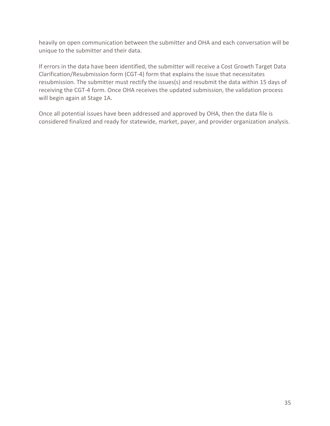heavily on open communication between the submitter and OHA and each conversation will be unique to the submitter and their data.

If errors in the data have been identified, the submitter will receive a Cost Growth Target Data Clarification/Resubmission form (CGT-4) form that explains the issue that necessitates resubmission. The submitter must rectify the issues(s) and resubmit the data within 15 days of receiving the CGT-4 form. Once OHA receives the updated submission, the validation process will begin again at Stage 1A.

Once all potential issues have been addressed and approved by OHA, then the data file is considered finalized and ready for statewide, market, payer, and provider organization analysis.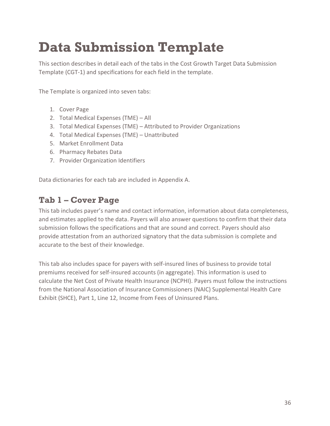## <span id="page-35-0"></span>**Data Submission Template**

This section describes in detail each of the tabs in the Cost Growth Target Data Submission Template (CGT-1) and specifications for each field in the template.

The Template is organized into seven tabs:

- 1. Cover Page
- 2. Total Medical Expenses (TME) All
- 3. Total Medical Expenses (TME) Attributed to Provider Organizations
- 4. Total Medical Expenses (TME) Unattributed
- 5. Market Enrollment Data
- 6. Pharmacy Rebates Data
- 7. Provider Organization Identifiers

Data dictionaries for each tab are included in Appendix A.

### <span id="page-35-1"></span>**Tab 1 – Cover Page**

This tab includes payer's name and contact information, information about data completeness, and estimates applied to the data. Payers will also answer questions to confirm that their data submission follows the specifications and that are sound and correct. Payers should also provide attestation from an authorized signatory that the data submission is complete and accurate to the best of their knowledge.

This tab also includes space for payers with self-insured lines of business to provide total premiums received for self-insured accounts (in aggregate). This information is used to calculate the Net Cost of Private Health Insurance (NCPHI). Payers must follow the instructions from the National Association of Insurance Commissioners (NAIC) Supplemental Health Care Exhibit (SHCE), Part 1, Line 12, Income from Fees of Uninsured Plans.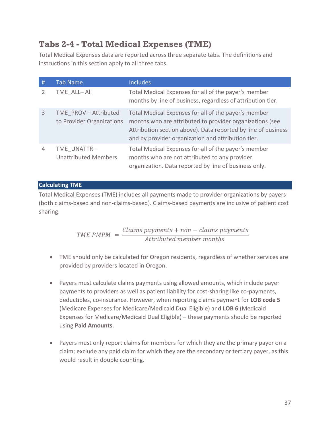# **Tabs 2-4 - Total Medical Expenses (TME)**

Total Medical Expenses data are reported across three separate tabs. The definitions and instructions in this section apply to all three tabs.

| #             | <b>Tab Name</b>                                    | <b>Includes</b>                                                                                                                                                                                                                         |
|---------------|----------------------------------------------------|-----------------------------------------------------------------------------------------------------------------------------------------------------------------------------------------------------------------------------------------|
| $\mathcal{L}$ | TME ALL-All                                        | Total Medical Expenses for all of the payer's member<br>months by line of business, regardless of attribution tier.                                                                                                                     |
| 3             | TME PROV - Attributed<br>to Provider Organizations | Total Medical Expenses for all of the payer's member<br>months who are attributed to provider organizations (see<br>Attribution section above). Data reported by line of business<br>and by provider organization and attribution tier. |
| 4             | TME UNATTR-<br><b>Unattributed Members</b>         | Total Medical Expenses for all of the payer's member<br>months who are not attributed to any provider<br>organization. Data reported by line of business only.                                                                          |

# **Calculating TME**

Total Medical Expenses (TME) includes all payments made to provider organizations by payers (both claims-based and non-claims-based). Claims-based payments are inclusive of patient cost sharing.

> $TME PMPM =$  $\mathit{Clains}$  payments  $+$  non  $-$  claims payments Attributed member months

- TME should only be calculated for Oregon residents, regardless of whether services are provided by providers located in Oregon.
- Payers must calculate claims payments using allowed amounts, which include payer payments to providers as well as patient liability for cost-sharing like co-payments, deductibles, co-insurance. However, when reporting claims payment for **LOB code 5** (Medicare Expenses for Medicare/Medicaid Dual Eligible) and **LOB 6** (Medicaid Expenses for Medicare/Medicaid Dual Eligible) – these payments should be reported using **Paid Amounts**.
- Payers must only report claims for members for which they are the primary payer on a claim; exclude any paid claim for which they are the secondary or tertiary payer, as this would result in double counting.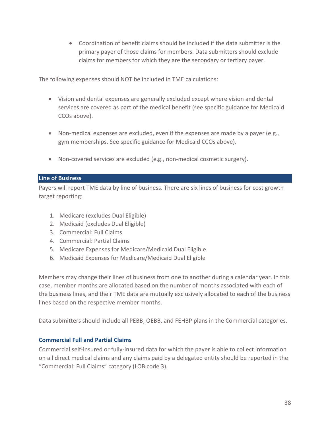• Coordination of benefit claims should be included if the data submitter is the primary payer of those claims for members. Data submitters should exclude claims for members for which they are the secondary or tertiary payer.

The following expenses should NOT be included in TME calculations:

- Vision and dental expenses are generally excluded except where vision and dental services are covered as part of the medical benefit (see specific guidance for Medicaid CCOs above).
- Non-medical expenses are excluded, even if the expenses are made by a payer (e.g., gym memberships. See specific guidance for Medicaid CCOs above).
- Non-covered services are excluded (e.g., non-medical cosmetic surgery).

### <span id="page-37-0"></span>**Line of Business**

Payers will report TME data by line of business. There are six lines of business for cost growth target reporting:

- 1. Medicare (excludes Dual Eligible)
- 2. Medicaid (excludes Dual Eligible)
- 3. Commercial: Full Claims
- 4. Commercial: Partial Claims
- 5. Medicare Expenses for Medicare/Medicaid Dual Eligible
- 6. Medicaid Expenses for Medicare/Medicaid Dual Eligible

Members may change their lines of business from one to another during a calendar year. In this case, member months are allocated based on the number of months associated with each of the business lines, and their TME data are mutually exclusively allocated to each of the business lines based on the respective member months.

Data submitters should include all PEBB, OEBB, and FEHBP plans in the Commercial categories.

# **Commercial Full and Partial Claims**

Commercial self-insured or fully-insured data for which the payer is able to collect information on all direct medical claims and any claims paid by a delegated entity should be reported in the "Commercial: Full Claims" category (LOB code 3).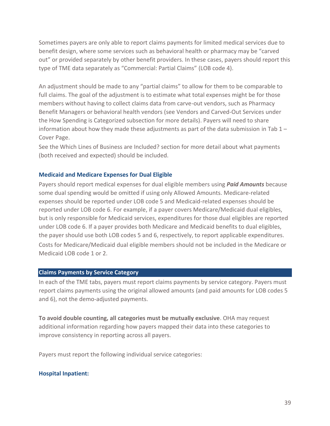Sometimes payers are only able to report claims payments for limited medical services due to benefit design, where some services such as behavioral health or pharmacy may be "carved out" or provided separately by other benefit providers. In these cases, payers should report this type of TME data separately as "Commercial: Partial Claims" (LOB code 4).

An adjustment should be made to any "partial claims" to allow for them to be comparable to full claims. The goal of the adjustment is to estimate what total expenses might be for those members without having to collect claims data from carve-out vendors, such as Pharmacy Benefit Managers or behavioral health vendors (see Vendors and Carved-Out Services under the How Spending is Categorized subsection for more details). Payers will need to share information about how they made these adjustments as part of the data submission in Tab  $1 -$ Cover Page.

See the Which Lines of Business are Included? section for more detail about what payments (both received and expected) should be included.

# **Medicaid and Medicare Expenses for Dual Eligible**

Payers should report medical expenses for dual eligible members using *Paid Amounts* because some dual spending would be omitted if using only Allowed Amounts. Medicare-related expenses should be reported under LOB code 5 and Medicaid-related expenses should be reported under LOB code 6. For example, if a payer covers Medicare/Medicaid dual eligibles, but is only responsible for Medicaid services, expenditures for those dual eligibles are reported under LOB code 6. If a payer provides both Medicare and Medicaid benefits to dual eligibles, the payer should use both LOB codes 5 and 6, respectively, to report applicable expenditures. Costs for Medicare/Medicaid dual eligible members should not be included in the Medicare or Medicaid LOB code 1 or 2.

# <span id="page-38-0"></span>**Claims Payments by Service Category**

In each of the TME tabs, payers must report claims payments by service category. Payers must report claims payments using the original allowed amounts (and paid amounts for LOB codes 5 and 6), not the demo-adjusted payments.

**To avoid double counting, all categories must be mutually exclusive**. OHA may request additional information regarding how payers mapped their data into these categories to improve consistency in reporting across all payers.

Payers must report the following individual service categories:

#### **Hospital Inpatient:**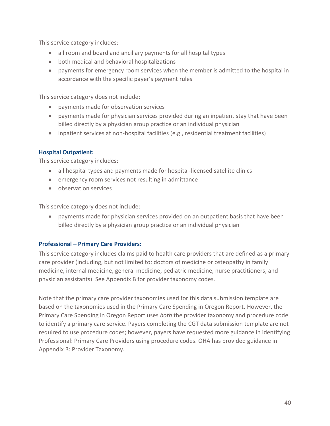This service category includes:

- all room and board and ancillary payments for all hospital types
- both medical and behavioral hospitalizations
- payments for emergency room services when the member is admitted to the hospital in accordance with the specific payer's payment rules

This service category does not include:

- payments made for observation services
- payments made for physician services provided during an inpatient stay that have been billed directly by a physician group practice or an individual physician
- inpatient services at non-hospital facilities (e.g., residential treatment facilities)

### **Hospital Outpatient:**

This service category includes:

- all hospital types and payments made for hospital-licensed satellite clinics
- emergency room services not resulting in admittance
- observation services

This service category does not include:

• payments made for physician services provided on an outpatient basis that have been billed directly by a physician group practice or an individual physician

#### **Professional – Primary Care Providers:**

This service category includes claims paid to health care providers that are defined as a primary care provider (including, but not limited to: doctors of medicine or osteopathy in family medicine, internal medicine, general medicine, pediatric medicine, nurse practitioners, and physician assistants). See Appendix B for provider taxonomy codes.

Note that the primary care provider taxonomies used for this data submission template are based on the taxonomies used in the Primary Care Spending in Oregon Report. However, the Primary Care Spending in Oregon Report uses *both* the provider taxonomy and procedure code to identify a primary care service. Payers completing the CGT data submission template are not required to use procedure codes; however, payers have requested more guidance in identifying Professional: Primary Care Providers using procedure codes. OHA has provided guidance in Appendix B: Provider Taxonomy.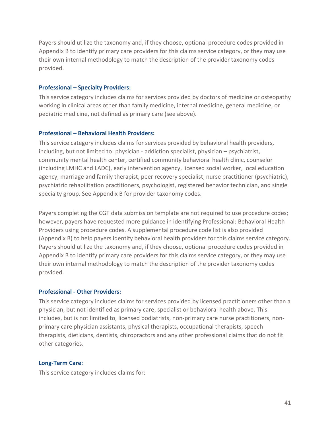Payers should utilize the taxonomy and, if they choose, optional procedure codes provided in Appendix B to identify primary care providers for this claims service category, or they may use their own internal methodology to match the description of the provider taxonomy codes provided.

#### **Professional – Specialty Providers:**

This service category includes claims for services provided by doctors of medicine or osteopathy working in clinical areas other than family medicine, internal medicine, general medicine, or pediatric medicine, not defined as primary care (see above).

### **Professional – Behavioral Health Providers:**

This service category includes claims for services provided by behavioral health providers, including, but not limited to: physician - addiction specialist, physician – psychiatrist, community mental health center, certified community behavioral health clinic, counselor (including LMHC and LADC), early intervention agency, licensed social worker, local education agency, marriage and family therapist, peer recovery specialist, nurse practitioner (psychiatric), psychiatric rehabilitation practitioners, psychologist, registered behavior technician, and single specialty group. See Appendix B for provider taxonomy codes.

Payers completing the CGT data submission template are not required to use procedure codes; however, payers have requested more guidance in identifying Professional: Behavioral Health Providers using procedure codes. A supplemental procedure code list is also provided (Appendix B) to help payers identify behavioral health providers for this claims service category. Payers should utilize the taxonomy and, if they choose, optional procedure codes provided in Appendix B to identify primary care providers for this claims service category, or they may use their own internal methodology to match the description of the provider taxonomy codes provided.

# **Professional - Other Providers:**

This service category includes claims for services provided by licensed practitioners other than a physician, but not identified as primary care, specialist or behavioral health above. This includes, but is not limited to, licensed podiatrists, non-primary care nurse practitioners, nonprimary care physician assistants, physical therapists, occupational therapists, speech therapists, dieticians, dentists, chiropractors and any other professional claims that do not fit other categories.

#### **Long-Term Care:**

This service category includes claims for: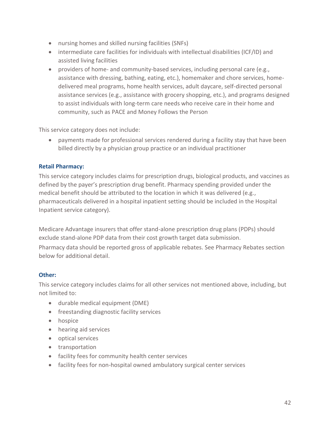- nursing homes and skilled nursing facilities (SNFs)
- intermediate care facilities for individuals with intellectual disabilities (ICF/ID) and assisted living facilities
- providers of home- and community-based services, including personal care (e.g., assistance with dressing, bathing, eating, etc.), homemaker and chore services, homedelivered meal programs, home health services, adult daycare, self-directed personal assistance services (e.g., assistance with grocery shopping, etc.), and programs designed to assist individuals with long-term care needs who receive care in their home and community, such as PACE and Money Follows the Person

This service category does not include:

• payments made for professional services rendered during a facility stay that have been billed directly by a physician group practice or an individual practitioner

# **Retail Pharmacy:**

This service category includes claims for prescription drugs, biological products, and vaccines as defined by the payer's prescription drug benefit. Pharmacy spending provided under the medical benefit should be attributed to the location in which it was delivered (e.g., pharmaceuticals delivered in a hospital inpatient setting should be included in the Hospital Inpatient service category).

Medicare Advantage insurers that offer stand-alone prescription drug plans (PDPs) should exclude stand-alone PDP data from their cost growth target data submission.

Pharmacy data should be reported gross of applicable rebates. See Pharmacy Rebates section below for additional detail.

# **Other:**

This service category includes claims for all other services not mentioned above, including, but not limited to:

- durable medical equipment (DME)
- freestanding diagnostic facility services
- hospice
- hearing aid services
- optical services
- transportation
- facility fees for community health center services
- facility fees for non-hospital owned ambulatory surgical center services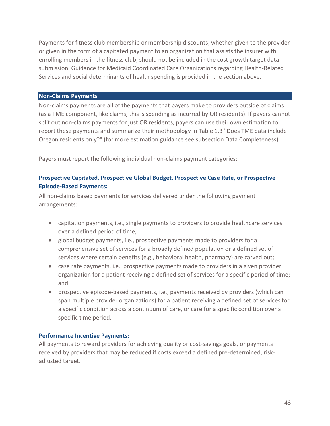Payments for fitness club membership or membership discounts, whether given to the provider or given in the form of a capitated payment to an organization that assists the insurer with enrolling members in the fitness club, should not be included in the cost growth target data submission. Guidance for Medicaid Coordinated Care Organizations regarding Health-Related Services and social determinants of health spending is provided in the section above.

#### <span id="page-42-0"></span>**Non-Claims Payments**

Non-claims payments are all of the payments that payers make to providers outside of claims (as a TME component, like claims, this is spending as incurred by OR residents). If payers cannot split out non-claims payments for just OR residents, payers can use their own estimation to report these payments and summarize their methodology in Table 1.3 "Does TME data include Oregon residents only?" (for more estimation guidance see subsection Data Completeness).

Payers must report the following individual non-claims payment categories:

# **Prospective Capitated, Prospective Global Budget, Prospective Case Rate, or Prospective Episode-Based Payments:**

All non-claims based payments for services delivered under the following payment arrangements:

- capitation payments, i.e., single payments to providers to provide healthcare services over a defined period of time;
- global budget payments, i.e., prospective payments made to providers for a comprehensive set of services for a broadly defined population or a defined set of services where certain benefits (e.g., behavioral health, pharmacy) are carved out;
- case rate payments, i.e., prospective payments made to providers in a given provider organization for a patient receiving a defined set of services for a specific period of time; and
- prospective episode-based payments, i.e., payments received by providers (which can span multiple provider organizations) for a patient receiving a defined set of services for a specific condition across a continuum of care, or care for a specific condition over a specific time period.

#### **Performance Incentive Payments:**

All payments to reward providers for achieving quality or cost-savings goals, or payments received by providers that may be reduced if costs exceed a defined pre-determined, riskadjusted target.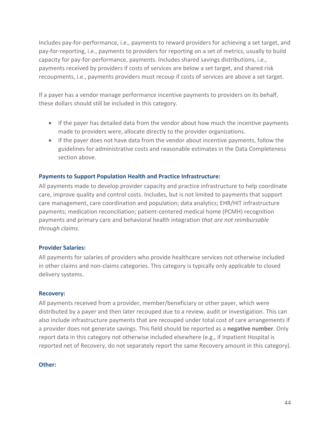Includes pay-for-performance, i.e., payments to reward providers for achieving a set target, and pay-for-reporting, i.e., payments to providers for reporting on a set of metrics, usually to build capacity for pay-for-performance, payments. Includes shared savings distributions, i.e., payments received by providers if costs of services are below a set target, and shared risk recoupments, i.e., payments providers must recoup if costs of services are above a set target.

If a payer has a vendor manage performance incentive payments to providers on its behalf, these dollars should still be included in this category.

- If the payer has detailed data from the vendor about how much the incentive payments made to providers were, allocate directly to the provider organizations.
- If the payer does not have data from the vendor about incentive payments, follow the guidelines for administrative costs and reasonable estimates in the Data Completeness section above.

### **Payments to Support Population Health and Practice Infrastructure:**

All payments made to develop provider capacity and practice infrastructure to help coordinate care, improve quality and control costs. Includes, but is not limited to payments that support care management, care coordination and population; data analytics; EHR/HIT infrastructure payments; medication reconciliation; patient-centered medical home (PCMH) recognition payments and primary care and behavioral health integration *that are not reimbursable through claims*.

#### **Provider Salaries:**

All payments for salaries of providers who provide healthcare services not otherwise included in other claims and non-claims categories. This category is typically only applicable to closed delivery systems.

#### **Recovery:**

All payments received from a provider, member/beneficiary or other payer, which were distributed by a payer and then later recouped due to a review, audit or investigation. This can also include infrastructure payments that are recouped under total cost of care arrangements if a provider does not generate savings. This field should be reported as a **negative number**. Only report data in this category not otherwise included elsewhere (e.g., if Inpatient Hospital is reported net of Recovery, do not separately report the same Recovery amount in this category).

#### **Other:**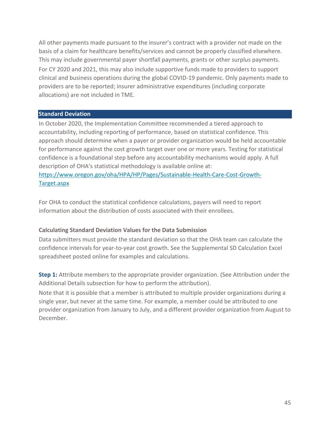All other payments made pursuant to the insurer's contract with a provider not made on the basis of a claim for healthcare benefits/services and cannot be properly classified elsewhere. This may include governmental payer shortfall payments, grants or other surplus payments. For CY 2020 and 2021, this may also include supportive funds made to providers to support clinical and business operations during the global COVID-19 pandemic. Only payments made to providers are to be reported; insurer administrative expenditures (including corporate allocations) are not included in TME.

### <span id="page-44-0"></span>**Standard Deviation**

In October 2020, the Implementation Committee recommended a tiered approach to accountability, including reporting of performance, based on statistical confidence. This approach should determine when a payer or provider organization would be held accountable for performance against the cost growth target over one or more years. Testing for statistical confidence is a foundational step before any accountability mechanisms would apply. A full description of OHA's statistical methodology is available online at: [https://www.oregon.gov/oha/HPA/HP/Pages/Sustainable-Health-Care-Cost-Growth-](https://www.oregon.gov/oha/HPA/HP/Pages/Sustainable-Health-Care-Cost-Growth-Target.aspx)

[Target.aspx](https://www.oregon.gov/oha/HPA/HP/Pages/Sustainable-Health-Care-Cost-Growth-Target.aspx)

For OHA to conduct the statistical confidence calculations, payers will need to report information about the distribution of costs associated with their enrollees.

# **Calculating Standard Deviation Values for the Data Submission**

Data submitters must provide the standard deviation so that the OHA team can calculate the confidence intervals for year-to-year cost growth. See the Supplemental SD Calculation Excel spreadsheet posted online for examples and calculations.

**Step 1:** Attribute members to the appropriate provider organization. (See Attribution under the Additional Details subsection for how to perform the attribution).

Note that it is possible that a member is attributed to multiple provider organizations during a single year, but never at the same time. For example, a member could be attributed to one provider organization from January to July, and a different provider organization from August to December.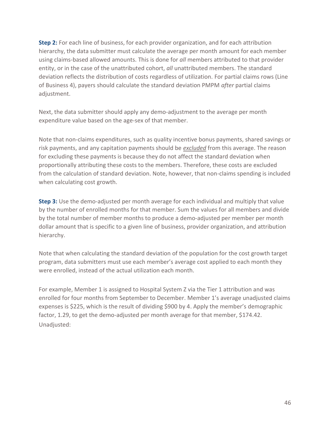**Step 2:** For each line of business, for each provider organization, and for each attribution hierarchy, the data submitter must calculate the average per month amount for each member using claims-based allowed amounts. This is done for *all* members attributed to that provider entity, or in the case of the unattributed cohort, *all* unattributed members. The standard deviation reflects the distribution of costs regardless of utilization. For partial claims rows (Line of Business 4), payers should calculate the standard deviation PMPM *after* partial claims adjustment.

Next, the data submitter should apply any demo-adjustment to the average per month expenditure value based on the age-sex of that member.

Note that non-claims expenditures, such as quality incentive bonus payments, shared savings or risk payments, and any capitation payments should be *excluded* from this average. The reason for excluding these payments is because they do not affect the standard deviation when proportionally attributing these costs to the members. Therefore, these costs are excluded from the calculation of standard deviation. Note, however, that non-claims spending is included when calculating cost growth.

**Step 3:** Use the demo-adjusted per month average for each individual and multiply that value by the number of enrolled months for that member. Sum the values for all members and divide by the total number of member months to produce a demo-adjusted per member per month dollar amount that is specific to a given line of business, provider organization, and attribution hierarchy.

Note that when calculating the standard deviation of the population for the cost growth target program, data submitters must use each member's average cost applied to each month they were enrolled, instead of the actual utilization each month.

For example, Member 1 is assigned to Hospital System Z via the Tier 1 attribution and was enrolled for four months from September to December. Member 1's average unadjusted claims expenses is \$225, which is the result of dividing \$900 by 4. Apply the member's demographic factor, 1.29, to get the demo-adjusted per month average for that member, \$174.42. Unadjusted: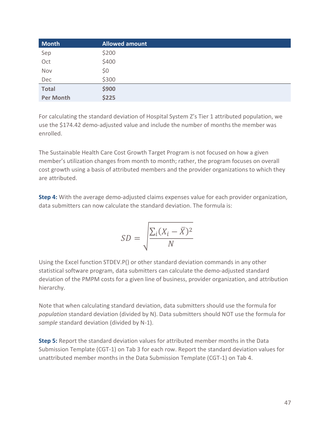| <b>Month</b>     | <b>Allowed amount</b> |
|------------------|-----------------------|
| Sep              | \$200                 |
| Oct              | \$400                 |
| Nov              | \$0                   |
| Dec              | \$300                 |
| <b>Total</b>     | \$900                 |
| <b>Per Month</b> | \$225                 |

For calculating the standard deviation of Hospital System Z's Tier 1 attributed population, we use the \$174.42 demo-adjusted value and include the number of months the member was enrolled.

The Sustainable Health Care Cost Growth Target Program is not focused on how a given member's utilization changes from month to month; rather, the program focuses on overall cost growth using a basis of attributed members and the provider organizations to which they are attributed.

**Step 4:** With the average demo-adjusted claims expenses value for each provider organization, data submitters can now calculate the standard deviation. The formula is:

$$
SD = \sqrt{\frac{\sum_{i}(X_i - \bar{X})^2}{N}}
$$

Using the Excel function STDEV.P() or other standard deviation commands in any other statistical software program, data submitters can calculate the demo-adjusted standard deviation of the PMPM costs for a given line of business, provider organization, and attribution hierarchy.

Note that when calculating standard deviation, data submitters should use the formula for *population* standard deviation (divided by N). Data submitters should NOT use the formula for *sample* standard deviation (divided by N-1).

**Step 5:** Report the standard deviation values for attributed member months in the Data Submission Template (CGT-1) on Tab 3 for each row. Report the standard deviation values for unattributed member months in the Data Submission Template (CGT-1) on Tab 4.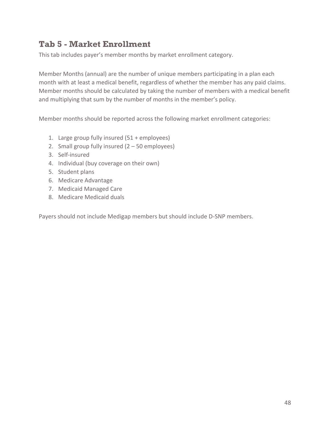# **Tab 5 - Market Enrollment**

This tab includes payer's member months by market enrollment category.

Member Months (annual) are the number of unique members participating in a plan each month with at least a medical benefit, regardless of whether the member has any paid claims. Member months should be calculated by taking the number of members with a medical benefit and multiplying that sum by the number of months in the member's policy.

Member months should be reported across the following market enrollment categories:

- 1. Large group fully insured (51 + employees)
- 2. Small group fully insured  $(2 50$  employees)
- 3. Self-insured
- 4. Individual (buy coverage on their own)
- 5. Student plans
- 6. Medicare Advantage
- 7. Medicaid Managed Care
- 8. Medicare Medicaid duals

Payers should not include Medigap members but should include D-SNP members.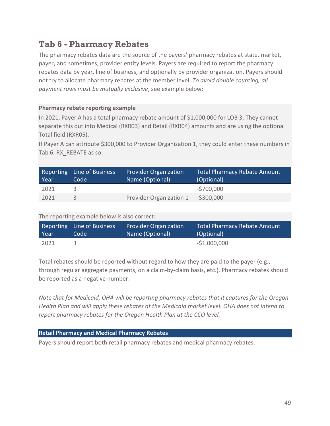# **Tab 6 - Pharmacy Rebates**

The pharmacy rebates data are the source of the payers' pharmacy rebates at state, market, payer, and sometimes, provider entity levels. Payers are required to report the pharmacy rebates data by year, line of business, and optionally by provider organization. Payers should not try to allocate pharmacy rebates at the member level. *To avoid double counting, all payment rows must be mutually exclusive*, see example below:

# **Pharmacy rebate reporting example**

In 2021, Payer A has a total pharmacy rebate amount of \$1,000,000 for LOB 3. They cannot separate this out into Medical (RXR03) and Retail (RXR04) amounts and are using the optional Total field (RXR05).

If Payer A can attribute \$300,000 to Provider Organization 1, they could enter these numbers in Tab 6. RX REBATE as so:

| Year | Reporting Line of Business<br>Code | <b>Provider Organization</b><br>Name (Optional) | <b>Total Pharmacy Rebate Amount</b><br>(Optional) |
|------|------------------------------------|-------------------------------------------------|---------------------------------------------------|
| 2021 |                                    |                                                 | $-5700,000$                                       |
| 2021 |                                    | Provider Organization 1                         | $-$ \$300,000                                     |

# The reporting example below is also correct:

| Year | Reporting Line of Business | <b>Provider Organization</b> | <b>Total Pharmacy Rebate Amount</b> |
|------|----------------------------|------------------------------|-------------------------------------|
|      | Code                       | Name (Optional)              | (Optional)                          |
| 2021 |                            |                              | $-51,000,000$                       |

Total rebates should be reported without regard to how they are paid to the payer (e.g., through regular aggregate payments, on a claim-by-claim basis, etc.). Pharmacy rebates should be reported as a negative number.

*Note that for Medicaid, OHA will be reporting pharmacy rebates that it captures for the Oregon Health Plan and will apply these rebates at the Medicaid market level. OHA does not intend to report pharmacy rebates for the Oregon Health Plan at the CCO level.* 

#### **Retail Pharmacy and Medical Pharmacy Rebates**

Payers should report both retail pharmacy rebates and medical pharmacy rebates.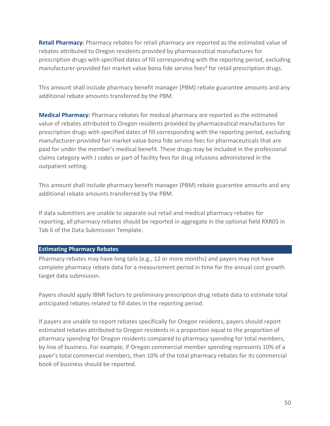**Retail Pharmacy:** Pharmacy rebates for retail pharmacy are reported as the estimated value of rebates attributed to Oregon residents provided by pharmaceutical manufactures for prescription drugs with specified dates of fill corresponding with the reporting period, excluding manufacturer-provided fair market value bona fide service fees<sup>4</sup> for retail prescription drugs.

This amount shall include pharmacy benefit manager (PBM) rebate guarantee amounts and any additional rebate amounts transferred by the PBM.

**Medical Pharmacy:** Pharmacy rebates for medical pharmacy are reported as the estimated value of rebates attributed to Oregon residents provided by pharmaceutical manufactures for prescription drugs with specified dates of fill corresponding with the reporting period, excluding manufacturer-provided fair market value bona fide service fees for pharmaceuticals that are paid for under the member's medical benefit. These drugs may be included in the professional claims category with J codes or part of facility fees for drug infusions administered in the outpatient setting.

This amount shall include pharmacy benefit manager (PBM) rebate guarantee amounts and any additional rebate amounts transferred by the PBM.

If data submitters are unable to separate out retail and medical pharmacy rebates for reporting, all pharmacy rebates should be reported in aggregate in the optional field RXR05 in Tab 6 of the Data Submission Template.

#### **Estimating Pharmacy Rebates**

Pharmacy rebates may have long tails (e.g., 12 or more months) and payers may not have complete pharmacy rebate data for a measurement period in time for the annual cost growth target data submission.

Payers should apply IBNR factors to preliminary prescription drug rebate data to estimate total anticipated rebates related to fill dates in the reporting period.

If payers are unable to report rebates specifically for Oregon residents, payers should report estimated rebates attributed to Oregon residents in a proportion equal to the proportion of pharmacy spending for Oregon residents compared to pharmacy spending for total members, by line of business. For example, if Oregon commercial member spending represents 10% of a payer's total commercial members, then 10% of the total pharmacy rebates for its commercial book of business should be reported.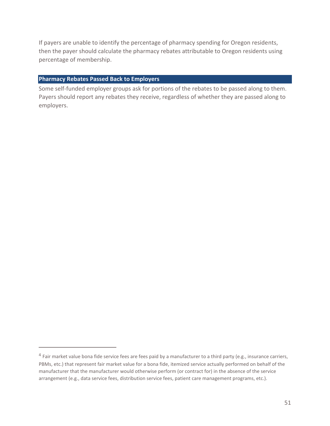If payers are unable to identify the percentage of pharmacy spending for Oregon residents, then the payer should calculate the pharmacy rebates attributable to Oregon residents using percentage of membership.

### **Pharmacy Rebates Passed Back to Employers**

Some self-funded employer groups ask for portions of the rebates to be passed along to them. Payers should report any rebates they receive, regardless of whether they are passed along to employers.

 $^4$  Fair market value bona fide service fees are fees paid by a manufacturer to a third party (e.g., insurance carriers, PBMs, etc.) that represent fair market value for a bona fide, itemized service actually performed on behalf of the manufacturer that the manufacturer would otherwise perform (or contract for) in the absence of the service arrangement (e.g., data service fees, distribution service fees, patient care management programs, etc.).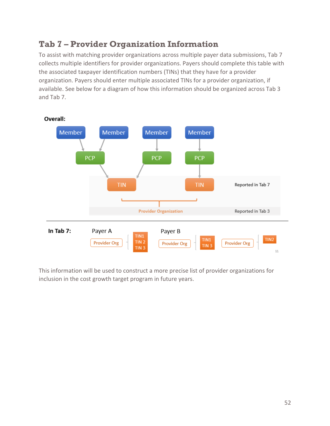# **Tab 7 – Provider Organization Information**

To assist with matching provider organizations across multiple payer data submissions, Tab 7 collects multiple identifiers for provider organizations. Payers should complete this table with the associated taxpayer identification numbers (TINs) that they have for a provider organization. Payers should enter multiple associated TINs for a provider organization, if available. See below for a diagram of how this information should be organized across Tab 3 and Tab 7.



This information will be used to construct a more precise list of provider organizations for inclusion in the cost growth target program in future years.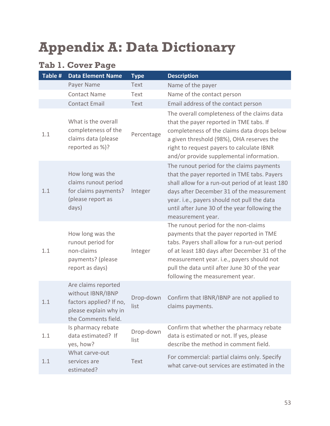# **Appendix A: Data Dictionary**

# **Tab 1. Cover Page**

| Table # | <b>Data Element Name</b>                                                                                            | <b>Type</b>       | <b>Description</b>                                                                                                                                                                                                                                                                                                 |
|---------|---------------------------------------------------------------------------------------------------------------------|-------------------|--------------------------------------------------------------------------------------------------------------------------------------------------------------------------------------------------------------------------------------------------------------------------------------------------------------------|
|         | Payer Name                                                                                                          | Text              | Name of the payer                                                                                                                                                                                                                                                                                                  |
|         | <b>Contact Name</b>                                                                                                 | Text              | Name of the contact person                                                                                                                                                                                                                                                                                         |
|         | <b>Contact Email</b>                                                                                                | Text              | Email address of the contact person                                                                                                                                                                                                                                                                                |
| 1.1     | What is the overall<br>completeness of the<br>claims data (please<br>reported as %)?                                | Percentage        | The overall completeness of the claims data<br>that the payer reported in TME tabs. If<br>completeness of the claims data drops below<br>a given threshold (98%), OHA reserves the<br>right to request payers to calculate IBNR<br>and/or provide supplemental information.                                        |
| 1.1     | How long was the<br>claims runout period<br>for claims payments?<br>(please report as<br>days)                      | Integer           | The runout period for the claims payments<br>that the payer reported in TME tabs. Payers<br>shall allow for a run-out period of at least 180<br>days after December 31 of the measurement<br>year. i.e., payers should not pull the data<br>until after June 30 of the year following the<br>measurement year.     |
| 1.1     | How long was the<br>runout period for<br>non-claims<br>payments? (please<br>report as days)                         | Integer           | The runout period for the non-claims<br>payments that the payer reported in TME<br>tabs. Payers shall allow for a run-out period<br>of at least 180 days after December 31 of the<br>measurement year. i.e., payers should not<br>pull the data until after June 30 of the year<br>following the measurement year. |
| 1.1     | Are claims reported<br>without IBNR/IBNP<br>factors applied? If no,<br>please explain why in<br>the Comments field. | Drop-down<br>list | Confirm that IBNR/IBNP are not applied to<br>claims payments.                                                                                                                                                                                                                                                      |
| 1.1     | Is pharmacy rebate<br>data estimated? If<br>yes, how?                                                               | Drop-down<br>list | Confirm that whether the pharmacy rebate<br>data is estimated or not. If yes, please<br>describe the method in comment field.                                                                                                                                                                                      |
| 1.1     | What carve-out<br>services are<br>estimated?                                                                        | Text              | For commercial: partial claims only. Specify<br>what carve-out services are estimated in the                                                                                                                                                                                                                       |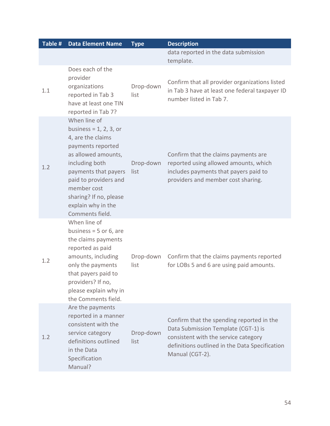| Table # | Data Element Name                                                                                                                                                                                                                                               | <b>Type</b>       | <b>Description</b>                                                                                                                                                                            |
|---------|-----------------------------------------------------------------------------------------------------------------------------------------------------------------------------------------------------------------------------------------------------------------|-------------------|-----------------------------------------------------------------------------------------------------------------------------------------------------------------------------------------------|
|         |                                                                                                                                                                                                                                                                 |                   | data reported in the data submission<br>template.                                                                                                                                             |
| 1.1     | Does each of the<br>provider<br>organizations<br>reported in Tab 3<br>have at least one TIN<br>reported in Tab 7?                                                                                                                                               | Drop-down<br>list | Confirm that all provider organizations listed<br>in Tab 3 have at least one federal taxpayer ID<br>number listed in Tab 7.                                                                   |
| 1.2     | When line of<br>business = $1, 2, 3$ , or<br>4, are the claims<br>payments reported<br>as allowed amounts,<br>including both<br>payments that payers<br>paid to providers and<br>member cost<br>sharing? If no, please<br>explain why in the<br>Comments field. | Drop-down<br>list | Confirm that the claims payments are<br>reported using allowed amounts, which<br>includes payments that payers paid to<br>providers and member cost sharing.                                  |
| 1.2     | When line of<br>business = $5$ or $6$ , are<br>the claims payments<br>reported as paid<br>amounts, including<br>only the payments<br>that payers paid to<br>providers? If no,<br>please explain why in<br>the Comments field.                                   | Drop-down<br>list | Confirm that the claims payments reported<br>for LOBs 5 and 6 are using paid amounts.                                                                                                         |
| 1.2     | Are the payments<br>reported in a manner<br>consistent with the<br>service category<br>definitions outlined<br>in the Data<br>Specification<br>Manual?                                                                                                          | Drop-down<br>list | Confirm that the spending reported in the<br>Data Submission Template (CGT-1) is<br>consistent with the service category<br>definitions outlined in the Data Specification<br>Manual (CGT-2). |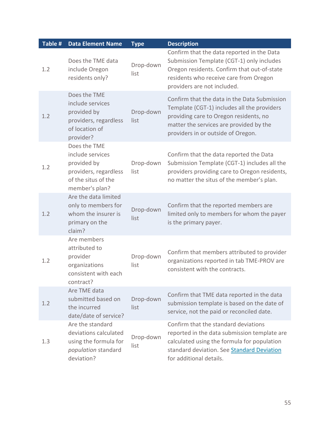| Table # | <b>Data Element Name</b>                                                                                          | <b>Type</b>       | <b>Description</b>                                                                                                                                                                                                     |
|---------|-------------------------------------------------------------------------------------------------------------------|-------------------|------------------------------------------------------------------------------------------------------------------------------------------------------------------------------------------------------------------------|
| 1.2     | Does the TME data<br>include Oregon<br>residents only?                                                            | Drop-down<br>list | Confirm that the data reported in the Data<br>Submission Template (CGT-1) only includes<br>Oregon residents. Confirm that out-of-state<br>residents who receive care from Oregon<br>providers are not included.        |
| 1.2     | Does the TME<br>include services<br>provided by<br>providers, regardless<br>of location of<br>provider?           | Drop-down<br>list | Confirm that the data in the Data Submission<br>Template (CGT-1) includes all the providers<br>providing care to Oregon residents, no<br>matter the services are provided by the<br>providers in or outside of Oregon. |
| 1.2     | Does the TME<br>include services<br>provided by<br>providers, regardless<br>of the situs of the<br>member's plan? | Drop-down<br>list | Confirm that the data reported the Data<br>Submission Template (CGT-1) includes all the<br>providers providing care to Oregon residents,<br>no matter the situs of the member's plan.                                  |
| 1.2     | Are the data limited<br>only to members for<br>whom the insurer is<br>primary on the<br>claim?                    | Drop-down<br>list | Confirm that the reported members are<br>limited only to members for whom the payer<br>is the primary payer.                                                                                                           |
| 1.2     | Are members<br>attributed to<br>provider<br>organizations<br>consistent with each<br>contract?                    | Drop-down<br>list | Confirm that members attributed to provider<br>organizations reported in tab TME-PROV are<br>consistent with the contracts.                                                                                            |
| 1.2     | Are TME data<br>submitted based on<br>the incurred<br>date/date of service?                                       | Drop-down<br>list | Confirm that TME data reported in the data<br>submission template is based on the date of<br>service, not the paid or reconciled date.                                                                                 |
| 1.3     | Are the standard<br>deviations calculated<br>using the formula for<br>population standard<br>deviation?           | Drop-down<br>list | Confirm that the standard deviations<br>reported in the data submission template are<br>calculated using the formula for population<br>standard deviation. See Standard Deviation<br>for additional details.           |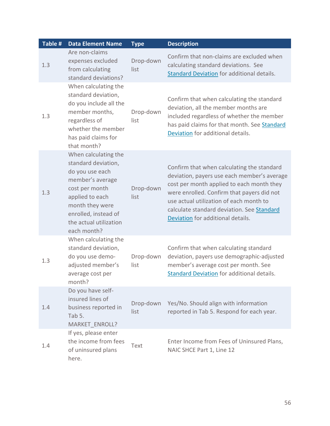| Table # | <b>Data Element Name</b>                                                                                                                                                                                    | <b>Type</b>       | <b>Description</b>                                                                                                                                                                                                                                                                                                 |
|---------|-------------------------------------------------------------------------------------------------------------------------------------------------------------------------------------------------------------|-------------------|--------------------------------------------------------------------------------------------------------------------------------------------------------------------------------------------------------------------------------------------------------------------------------------------------------------------|
| 1.3     | Are non-claims<br>expenses excluded<br>from calculating<br>standard deviations?                                                                                                                             | Drop-down<br>list | Confirm that non-claims are excluded when<br>calculating standard deviations. See<br><b>Standard Deviation for additional details.</b>                                                                                                                                                                             |
| 1.3     | When calculating the<br>standard deviation,<br>do you include all the<br>member months,<br>regardless of<br>whether the member<br>has paid claims for<br>that month?                                        | Drop-down<br>list | Confirm that when calculating the standard<br>deviation, all the member months are<br>included regardless of whether the member<br>has paid claims for that month. See Standard<br>Deviation for additional details.                                                                                               |
| 1.3     | When calculating the<br>standard deviation,<br>do you use each<br>member's average<br>cost per month<br>applied to each<br>month they were<br>enrolled, instead of<br>the actual utilization<br>each month? | Drop-down<br>list | Confirm that when calculating the standard<br>deviation, payers use each member's average<br>cost per month applied to each month they<br>were enrolled. Confirm that payers did not<br>use actual utilization of each month to<br>calculate standard deviation. See Standard<br>Deviation for additional details. |
| 1.3     | When calculating the<br>standard deviation,<br>do you use demo-<br>adjusted member's<br>average cost per<br>month?                                                                                          | Drop-down<br>list | Confirm that when calculating standard<br>deviation, payers use demographic-adjusted<br>member's average cost per month. See<br>Standard Deviation for additional details.                                                                                                                                         |
| 1.4     | Do you have self-<br>insured lines of<br>business reported in<br>Tab 5.<br><b>MARKET ENROLL?</b>                                                                                                            | Drop-down<br>list | Yes/No. Should align with information<br>reported in Tab 5. Respond for each year.                                                                                                                                                                                                                                 |
| 1.4     | If yes, please enter<br>the income from fees<br>of uninsured plans<br>here.                                                                                                                                 | Text              | Enter Income from Fees of Uninsured Plans,<br>NAIC SHCE Part 1, Line 12                                                                                                                                                                                                                                            |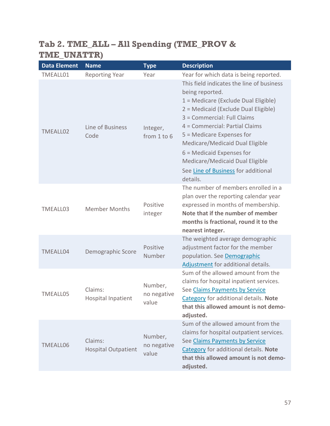# **Tab 2. TME\_ALL – All Spending (TME\_PROV & TME\_UNATTR)**

| <b>Data Element</b> | <b>Name</b>                           | <b>Type</b>                     | <b>Description</b>                                                                                                                                                                                                                                                                                                                                                                                 |
|---------------------|---------------------------------------|---------------------------------|----------------------------------------------------------------------------------------------------------------------------------------------------------------------------------------------------------------------------------------------------------------------------------------------------------------------------------------------------------------------------------------------------|
| TMEALL01            | <b>Reporting Year</b>                 | Year                            | Year for which data is being reported.                                                                                                                                                                                                                                                                                                                                                             |
| <b>TMEALL02</b>     | Line of Business<br>Code              | Integer,<br>from 1 to 6         | This field indicates the line of business<br>being reported.<br>1 = Medicare (Exclude Dual Eligible)<br>2 = Medicaid (Exclude Dual Eligible)<br>3 = Commercial: Full Claims<br>4 = Commercial: Partial Claims<br>5 = Medicare Expenses for<br>Medicare/Medicaid Dual Eligible<br>$6$ = Medicaid Expenses for<br>Medicare/Medicaid Dual Eligible<br>See Line of Business for additional<br>details. |
| TMEALL03            | <b>Member Months</b>                  | Positive<br>integer             | The number of members enrolled in a<br>plan over the reporting calendar year<br>expressed in months of membership.<br>Note that if the number of member<br>months is fractional, round it to the<br>nearest integer.                                                                                                                                                                               |
| <b>TMEALL04</b>     | Demographic Score                     | Positive<br>Number              | The weighted average demographic<br>adjustment factor for the member<br>population. See Demographic<br>Adjustment for additional details.                                                                                                                                                                                                                                                          |
| <b>TMEALL05</b>     | Claims:<br><b>Hospital Inpatient</b>  | Number,<br>no negative<br>value | Sum of the allowed amount from the<br>claims for hospital inpatient services.<br>See Claims Payments by Service<br>Category for additional details. Note<br>that this allowed amount is not demo-<br>adjusted.                                                                                                                                                                                     |
| <b>TMEALL06</b>     | Claims:<br><b>Hospital Outpatient</b> | Number,<br>no negative<br>value | Sum of the allowed amount from the<br>claims for hospital outpatient services.<br>See Claims Payments by Service<br><b>Category for additional details. Note</b><br>that this allowed amount is not demo-<br>adjusted.                                                                                                                                                                             |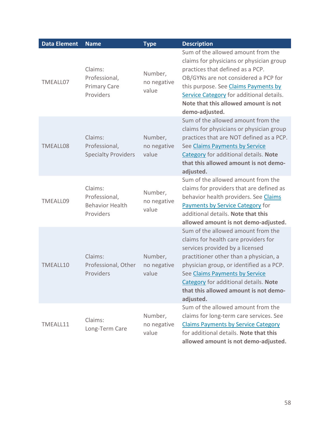| <b>Data Element</b> | <b>Name</b>                                                     | <b>Type</b>                     | <b>Description</b>                                                                                                                                                                                                                                                                                                                   |
|---------------------|-----------------------------------------------------------------|---------------------------------|--------------------------------------------------------------------------------------------------------------------------------------------------------------------------------------------------------------------------------------------------------------------------------------------------------------------------------------|
| TMEALL07            | Claims:<br>Professional,<br><b>Primary Care</b><br>Providers    | Number,<br>no negative<br>value | Sum of the allowed amount from the<br>claims for physicians or physician group<br>practices that defined as a PCP.<br>OB/GYNs are not considered a PCP for<br>this purpose. See Claims Payments by<br>Service Category for additional details.<br>Note that this allowed amount is not<br>demo-adjusted.                             |
| <b>TMEALL08</b>     | Claims:<br>Professional,<br><b>Specialty Providers</b>          | Number,<br>no negative<br>value | Sum of the allowed amount from the<br>claims for physicians or physician group<br>practices that are NOT defined as a PCP.<br>See Claims Payments by Service<br>Category for additional details. Note<br>that this allowed amount is not demo-<br>adjusted.                                                                          |
| <b>TMEALL09</b>     | Claims:<br>Professional,<br><b>Behavior Health</b><br>Providers | Number,<br>no negative<br>value | Sum of the allowed amount from the<br>claims for providers that are defined as<br>behavior health providers. See Claims<br>Payments by Service Category for<br>additional details. Note that this<br>allowed amount is not demo-adjusted.                                                                                            |
| TMEALL10            | Claims:<br>Professional, Other<br>Providers                     | Number,<br>no negative<br>value | Sum of the allowed amount from the<br>claims for health care providers for<br>services provided by a licensed<br>practitioner other than a physician, a<br>physician group, or identified as a PCP.<br>See Claims Payments by Service<br>Category for additional details. Note<br>that this allowed amount is not demo-<br>adjusted. |
| TMEALL11            | Claims:<br>Long-Term Care                                       | Number,<br>no negative<br>value | Sum of the allowed amount from the<br>claims for long-term care services. See<br><b>Claims Payments by Service Category</b><br>for additional details. Note that this<br>allowed amount is not demo-adjusted.                                                                                                                        |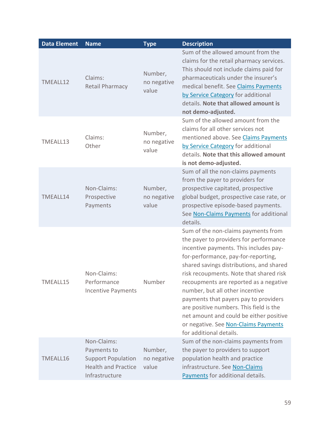| <b>Data Element</b> | <b>Name</b>                                                                                             | <b>Type</b>                     | <b>Description</b>                                                                                                                                                                                                                                                                                                                                                                                                                                                                                                                   |
|---------------------|---------------------------------------------------------------------------------------------------------|---------------------------------|--------------------------------------------------------------------------------------------------------------------------------------------------------------------------------------------------------------------------------------------------------------------------------------------------------------------------------------------------------------------------------------------------------------------------------------------------------------------------------------------------------------------------------------|
| TMEALL12            | Claims:<br><b>Retail Pharmacy</b>                                                                       | Number,<br>no negative<br>value | Sum of the allowed amount from the<br>claims for the retail pharmacy services.<br>This should not include claims paid for<br>pharmaceuticals under the insurer's<br>medical benefit. See Claims Payments<br>by Service Category for additional<br>details. Note that allowed amount is<br>not demo-adjusted.                                                                                                                                                                                                                         |
| TMEALL13            | Claims:<br>Other                                                                                        | Number,<br>no negative<br>value | Sum of the allowed amount from the<br>claims for all other services not<br>mentioned above. See Claims Payments<br>by Service Category for additional<br>details. Note that this allowed amount<br>is not demo-adjusted.                                                                                                                                                                                                                                                                                                             |
| TMEALL14            | Non-Claims:<br>Prospective<br>Payments                                                                  | Number,<br>no negative<br>value | Sum of all the non-claims payments<br>from the payer to providers for<br>prospective capitated, prospective<br>global budget, prospective case rate, or<br>prospective episode-based payments.<br>See Non-Claims Payments for additional<br>details.                                                                                                                                                                                                                                                                                 |
| TMEALL15            | Non-Claims:<br>Performance<br><b>Incentive Payments</b>                                                 | Number                          | Sum of the non-claims payments from<br>the payer to providers for performance<br>incentive payments. This includes pay-<br>for-performance, pay-for-reporting,<br>shared savings distributions, and shared<br>risk recoupments. Note that shared risk<br>recoupments are reported as a negative<br>number, but all other incentive<br>payments that payers pay to providers<br>are positive numbers. This field is the<br>net amount and could be either positive<br>or negative. See Non-Claims Payments<br>for additional details. |
| TMEALL16            | Non-Claims:<br>Payments to<br><b>Support Population</b><br><b>Health and Practice</b><br>Infrastructure | Number,<br>no negative<br>value | Sum of the non-claims payments from<br>the payer to providers to support<br>population health and practice<br>infrastructure. See Non-Claims<br>Payments for additional details.                                                                                                                                                                                                                                                                                                                                                     |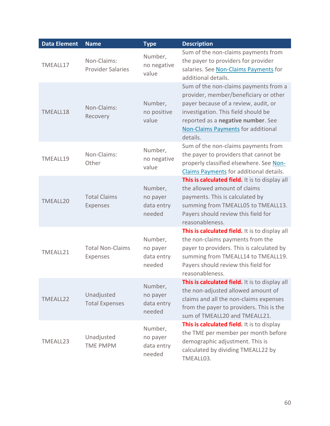| <b>Data Element</b> | <b>Name</b>                                | <b>Type</b>                                 | <b>Description</b>                                                                                                                                                                                                                                           |
|---------------------|--------------------------------------------|---------------------------------------------|--------------------------------------------------------------------------------------------------------------------------------------------------------------------------------------------------------------------------------------------------------------|
| TMEALL17            | Non-Claims:<br><b>Provider Salaries</b>    | Number,<br>no negative<br>value             | Sum of the non-claims payments from<br>the payer to providers for provider<br>salaries. See Non-Claims Payments for<br>additional details.                                                                                                                   |
| TMEALL18            | Non-Claims:<br>Recovery                    | Number,<br>no positive<br>value             | Sum of the non-claims payments from a<br>provider, member/beneficiary or other<br>payer because of a review, audit, or<br>investigation. This field should be<br>reported as a negative number. See<br><b>Non-Claims Payments for additional</b><br>details. |
| TMEALL19            | Non-Claims:<br>Other                       | Number,<br>no negative<br>value             | Sum of the non-claims payments from<br>the payer to providers that cannot be<br>properly classified elsewhere. See Non-<br>Claims Payments for additional details.                                                                                           |
| <b>TMEALL20</b>     | <b>Total Claims</b><br><b>Expenses</b>     | Number,<br>no payer<br>data entry<br>needed | This is calculated field. It is to display all<br>the allowed amount of claims<br>payments. This is calculated by<br>summing from TMEALL05 to TMEALL13.<br>Payers should review this field for<br>reasonableness.                                            |
| TMEALL21            | <b>Total Non-Claims</b><br><b>Expenses</b> | Number,<br>no payer<br>data entry<br>needed | This is calculated field. It is to display all<br>the non-claims payments from the<br>payer to providers. This is calculated by<br>summing from TMEALL14 to TMEALL19.<br>Payers should review this field for<br>reasonableness.                              |
| TMEALL22            | Unadjusted<br><b>Total Expenses</b>        | Number,<br>no payer<br>data entry<br>needed | This is calculated field. It is to display all<br>the non-adjusted allowed amount of<br>claims and all the non-claims expenses<br>from the payer to providers. This is the<br>sum of TMEALL20 and TMEALL21.                                                  |
| TMEALL23            | Unadjusted<br><b>TME PMPM</b>              | Number,<br>no payer<br>data entry<br>needed | This is calculated field. It is to display<br>the TME per member per month before<br>demographic adjustment. This is<br>calculated by dividing TMEALL22 by<br>TMEALL03.                                                                                      |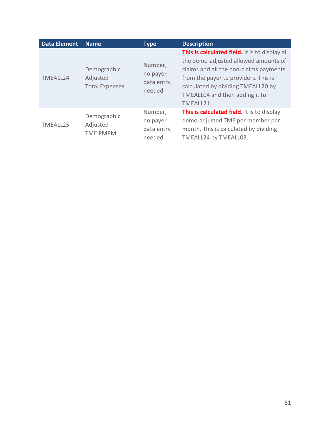| <b>Data Element</b> | <b>Name</b>                                      | <b>Type</b>                                 | <b>Description</b>                                                                                                                                                                                                                                            |
|---------------------|--------------------------------------------------|---------------------------------------------|---------------------------------------------------------------------------------------------------------------------------------------------------------------------------------------------------------------------------------------------------------------|
| TMEALL24            | Demographic<br>Adjusted<br><b>Total Expenses</b> | Number,<br>no payer<br>data entry<br>needed | This is calculated field. It is to display all<br>the demo-adjusted allowed amounts of<br>claims and all the non-claims payments<br>from the payer to providers. This is<br>calculated by dividing TMEALL20 by<br>TMEALL04 and then adding it to<br>TMEALL21. |
| TMEALL25            | Demographic<br>Adjusted<br><b>TME PMPM</b>       | Number,<br>no payer<br>data entry<br>needed | This is calculated field. It is to display<br>demo-adjusted TME per member per<br>month. This is calculated by dividing<br>TMEALL24 by TMEALL03.                                                                                                              |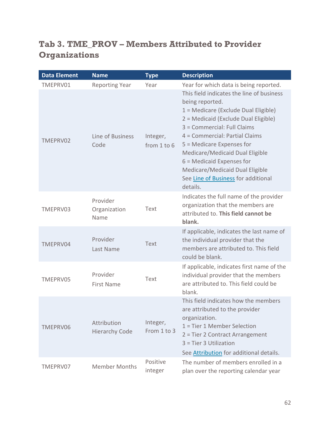# **Tab 3. TME\_PROV – Members Attributed to Provider Organizations**

| <b>Data Element</b> | <b>Name</b>                          | <b>Type</b>             | <b>Description</b>                                                                                                                                                                                                                                                                                                                                                                                 |
|---------------------|--------------------------------------|-------------------------|----------------------------------------------------------------------------------------------------------------------------------------------------------------------------------------------------------------------------------------------------------------------------------------------------------------------------------------------------------------------------------------------------|
| TMEPRV01            | <b>Reporting Year</b>                | Year                    | Year for which data is being reported.                                                                                                                                                                                                                                                                                                                                                             |
| TMEPRV02            | Line of Business<br>Code             | Integer,<br>from 1 to 6 | This field indicates the line of business<br>being reported.<br>1 = Medicare (Exclude Dual Eligible)<br>2 = Medicaid (Exclude Dual Eligible)<br>3 = Commercial: Full Claims<br>4 = Commercial: Partial Claims<br>5 = Medicare Expenses for<br>Medicare/Medicaid Dual Eligible<br>$6$ = Medicaid Expenses for<br>Medicare/Medicaid Dual Eligible<br>See Line of Business for additional<br>details. |
| TMEPRV03            | Provider<br>Organization<br>Name     | Text                    | Indicates the full name of the provider<br>organization that the members are<br>attributed to. This field cannot be<br>blank.                                                                                                                                                                                                                                                                      |
| TMEPRV04            | Provider<br>Last Name                | <b>Text</b>             | If applicable, indicates the last name of<br>the individual provider that the<br>members are attributed to. This field<br>could be blank.                                                                                                                                                                                                                                                          |
| TMEPRV05            | Provider<br><b>First Name</b>        | Text                    | If applicable, indicates first name of the<br>individual provider that the members<br>are attributed to. This field could be<br>blank.                                                                                                                                                                                                                                                             |
| TMEPRV06            | Attribution<br><b>Hierarchy Code</b> | Integer,<br>From 1 to 3 | This field indicates how the members<br>are attributed to the provider<br>organization.<br>1 = Tier 1 Member Selection<br>2 = Tier 2 Contract Arrangement<br>3 = Tier 3 Utilization<br>See Attribution for additional details.                                                                                                                                                                     |
| TMEPRV07            | <b>Member Months</b>                 | Positive<br>integer     | The number of members enrolled in a<br>plan over the reporting calendar year                                                                                                                                                                                                                                                                                                                       |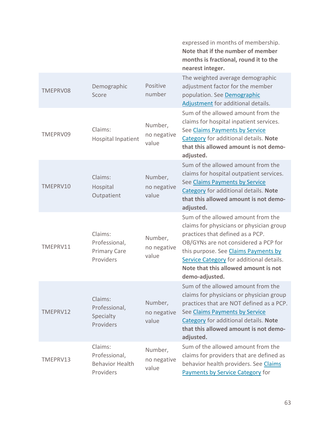|          |                                                                 |                                 | expressed in months of membership.<br>Note that if the number of member<br>months is fractional, round it to the<br>nearest integer.                                                                                                                                                                     |
|----------|-----------------------------------------------------------------|---------------------------------|----------------------------------------------------------------------------------------------------------------------------------------------------------------------------------------------------------------------------------------------------------------------------------------------------------|
| TMEPRV08 | Demographic<br>Score                                            | Positive<br>number              | The weighted average demographic<br>adjustment factor for the member<br>population. See Demographic<br>Adjustment for additional details.                                                                                                                                                                |
| TMEPRV09 | Claims:<br><b>Hospital Inpatient</b>                            | Number,<br>no negative<br>value | Sum of the allowed amount from the<br>claims for hospital inpatient services.<br>See Claims Payments by Service<br>Category for additional details. Note<br>that this allowed amount is not demo-<br>adjusted.                                                                                           |
| TMEPRV10 | Claims:<br>Hospital<br>Outpatient                               | Number,<br>no negative<br>value | Sum of the allowed amount from the<br>claims for hospital outpatient services.<br>See Claims Payments by Service<br>Category for additional details. Note<br>that this allowed amount is not demo-<br>adjusted.                                                                                          |
| TMEPRV11 | Claims:<br>Professional,<br><b>Primary Care</b><br>Providers    | Number,<br>no negative<br>value | Sum of the allowed amount from the<br>claims for physicians or physician group<br>practices that defined as a PCP.<br>OB/GYNs are not considered a PCP for<br>this purpose. See Claims Payments by<br>Service Category for additional details.<br>Note that this allowed amount is not<br>demo-adjusted. |
| TMEPRV12 | Claims:<br>Professional,<br>Specialty<br>Providers              | Number,<br>no negative<br>value | Sum of the allowed amount from the<br>claims for physicians or physician group<br>practices that are NOT defined as a PCP.<br>See Claims Payments by Service<br>Category for additional details. Note<br>that this allowed amount is not demo-<br>adjusted.                                              |
| TMEPRV13 | Claims:<br>Professional,<br><b>Behavior Health</b><br>Providers | Number,<br>no negative<br>value | Sum of the allowed amount from the<br>claims for providers that are defined as<br>behavior health providers. See Claims<br>Payments by Service Category for                                                                                                                                              |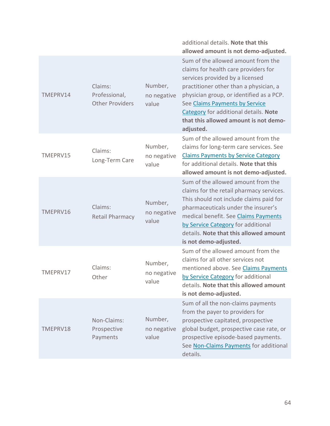|          |                                                    |                                 | additional details. Note that this<br>allowed amount is not demo-adjusted.                                                                                                                                                                                                                                                           |
|----------|----------------------------------------------------|---------------------------------|--------------------------------------------------------------------------------------------------------------------------------------------------------------------------------------------------------------------------------------------------------------------------------------------------------------------------------------|
| TMEPRV14 | Claims:<br>Professional,<br><b>Other Providers</b> | Number,<br>no negative<br>value | Sum of the allowed amount from the<br>claims for health care providers for<br>services provided by a licensed<br>practitioner other than a physician, a<br>physician group, or identified as a PCP.<br>See Claims Payments by Service<br>Category for additional details. Note<br>that this allowed amount is not demo-<br>adjusted. |
| TMEPRV15 | Claims:<br>Long-Term Care                          | Number,<br>no negative<br>value | Sum of the allowed amount from the<br>claims for long-term care services. See<br><b>Claims Payments by Service Category</b><br>for additional details. Note that this<br>allowed amount is not demo-adjusted.                                                                                                                        |
| TMEPRV16 | Claims:<br><b>Retail Pharmacy</b>                  | Number,<br>no negative<br>value | Sum of the allowed amount from the<br>claims for the retail pharmacy services.<br>This should not include claims paid for<br>pharmaceuticals under the insurer's<br>medical benefit. See Claims Payments<br>by Service Category for additional<br>details. Note that this allowed amount<br>is not demo-adjusted.                    |
| TMEPRV17 | Claims:<br>Other                                   | Number,<br>no negative<br>value | Sum of the allowed amount from the<br>claims for all other services not<br>mentioned above. See Claims Payments<br>by Service Category for additional<br>details. Note that this allowed amount<br>is not demo-adjusted.                                                                                                             |
| TMEPRV18 | Non-Claims:<br>Prospective<br>Payments             | Number,<br>no negative<br>value | Sum of all the non-claims payments<br>from the payer to providers for<br>prospective capitated, prospective<br>global budget, prospective case rate, or<br>prospective episode-based payments.<br>See Non-Claims Payments for additional<br>details.                                                                                 |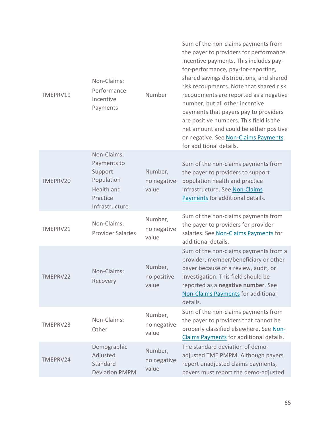| TMEPRV19 | Non-Claims:<br>Performance<br>Incentive<br>Payments                                             | Number                          | Sum of the non-claims payments from<br>the payer to providers for performance<br>incentive payments. This includes pay-<br>for-performance, pay-for-reporting,<br>shared savings distributions, and shared<br>risk recoupments. Note that shared risk<br>recoupments are reported as a negative<br>number, but all other incentive<br>payments that payers pay to providers<br>are positive numbers. This field is the<br>net amount and could be either positive<br>or negative. See Non-Claims Payments<br>for additional details. |
|----------|-------------------------------------------------------------------------------------------------|---------------------------------|--------------------------------------------------------------------------------------------------------------------------------------------------------------------------------------------------------------------------------------------------------------------------------------------------------------------------------------------------------------------------------------------------------------------------------------------------------------------------------------------------------------------------------------|
| TMEPRV20 | Non-Claims:<br>Payments to<br>Support<br>Population<br>Health and<br>Practice<br>Infrastructure | Number,<br>no negative<br>value | Sum of the non-claims payments from<br>the payer to providers to support<br>population health and practice<br>infrastructure. See Non-Claims<br>Payments for additional details.                                                                                                                                                                                                                                                                                                                                                     |
| TMEPRV21 | Non-Claims:<br><b>Provider Salaries</b>                                                         | Number,<br>no negative<br>value | Sum of the non-claims payments from<br>the payer to providers for provider<br>salaries. See Non-Claims Payments for<br>additional details.                                                                                                                                                                                                                                                                                                                                                                                           |
| TMEPRV22 | Non-Claims:<br>Recovery                                                                         | Number,<br>no positive<br>value | Sum of the non-claims payments from a<br>provider, member/beneficiary or other<br>payer because of a review, audit, or<br>investigation. This field should be<br>reported as a negative number. See<br><b>Non-Claims Payments for additional</b><br>details.                                                                                                                                                                                                                                                                         |
| TMEPRV23 | Non-Claims:<br>Other                                                                            | Number,<br>no negative<br>value | Sum of the non-claims payments from<br>the payer to providers that cannot be<br>properly classified elsewhere. See Non-<br>Claims Payments for additional details.                                                                                                                                                                                                                                                                                                                                                                   |
| TMEPRV24 | Demographic<br>Adjusted<br>Standard<br><b>Deviation PMPM</b>                                    | Number,<br>no negative<br>value | The standard deviation of demo-<br>adjusted TME PMPM. Although payers<br>report unadjusted claims payments,<br>payers must report the demo-adjusted                                                                                                                                                                                                                                                                                                                                                                                  |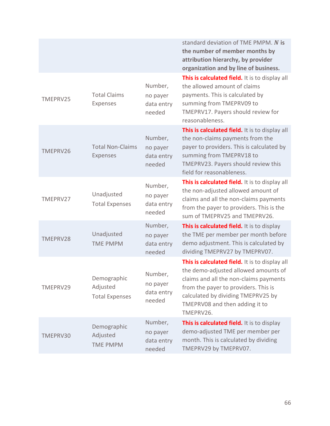|          |                                                  |                                             | standard deviation of TME PMPM. N is<br>the number of member months by<br>attribution hierarchy, by provider<br>organization and by line of business.                                                                                                         |
|----------|--------------------------------------------------|---------------------------------------------|---------------------------------------------------------------------------------------------------------------------------------------------------------------------------------------------------------------------------------------------------------------|
| TMEPRV25 | <b>Total Claims</b><br>Expenses                  | Number,<br>no payer<br>data entry<br>needed | This is calculated field. It is to display all<br>the allowed amount of claims<br>payments. This is calculated by<br>summing from TMEPRV09 to<br>TMEPRV17. Payers should review for<br>reasonableness.                                                        |
| TMEPRV26 | <b>Total Non-Claims</b><br><b>Expenses</b>       | Number,<br>no payer<br>data entry<br>needed | This is calculated field. It is to display all<br>the non-claims payments from the<br>payer to providers. This is calculated by<br>summing from TMEPRV18 to<br>TMEPRV23. Payers should review this<br>field for reasonableness.                               |
| TMEPRV27 | Unadjusted<br><b>Total Expenses</b>              | Number,<br>no payer<br>data entry<br>needed | This is calculated field. It is to display all<br>the non-adjusted allowed amount of<br>claims and all the non-claims payments<br>from the payer to providers. This is the<br>sum of TMEPRV25 and TMEPRV26.                                                   |
| TMEPRV28 | Unadjusted<br><b>TME PMPM</b>                    | Number,<br>no payer<br>data entry<br>needed | This is calculated field. It is to display<br>the TME per member per month before<br>demo adjustment. This is calculated by<br>dividing TMEPRV27 by TMEPRV07.                                                                                                 |
| TMEPRV29 | Demographic<br>Adjusted<br><b>Total Expenses</b> | Number,<br>no payer<br>data entry<br>needed | This is calculated field. It is to display all<br>the demo-adjusted allowed amounts of<br>claims and all the non-claims payments<br>from the payer to providers. This is<br>calculated by dividing TMEPRV25 by<br>TMEPRV08 and then adding it to<br>TMEPRV26. |
| TMEPRV30 | Demographic<br>Adjusted<br><b>TME PMPM</b>       | Number,<br>no payer<br>data entry<br>needed | This is calculated field. It is to display<br>demo-adjusted TME per member per<br>month. This is calculated by dividing<br>TMEPRV29 by TMEPRV07.                                                                                                              |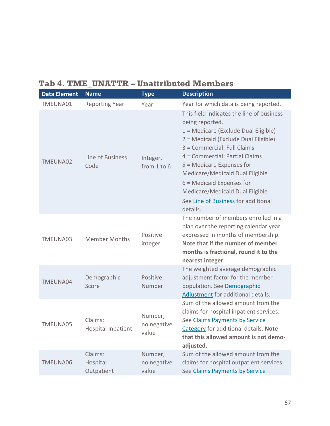# **Tab 4. TME\_UNATTR – Unattributed Members**

| <b>Data Element</b> | <b>Name</b>                          | <b>Type</b>                     | <b>Description</b>                                                                                                                                                                                                                                                                                                                                                                                 |
|---------------------|--------------------------------------|---------------------------------|----------------------------------------------------------------------------------------------------------------------------------------------------------------------------------------------------------------------------------------------------------------------------------------------------------------------------------------------------------------------------------------------------|
| TMEUNA01            | <b>Reporting Year</b>                | Year                            | Year for which data is being reported.                                                                                                                                                                                                                                                                                                                                                             |
| TMEUNA02            | Line of Business<br>Code             | Integer,<br>from 1 to 6         | This field indicates the line of business<br>being reported.<br>1 = Medicare (Exclude Dual Eligible)<br>2 = Medicaid (Exclude Dual Eligible)<br>3 = Commercial: Full Claims<br>4 = Commercial: Partial Claims<br>5 = Medicare Expenses for<br>Medicare/Medicaid Dual Eligible<br>$6$ = Medicaid Expenses for<br>Medicare/Medicaid Dual Eligible<br>See Line of Business for additional<br>details. |
| TMEUNA03            | <b>Member Months</b>                 | Positive<br>integer             | The number of members enrolled in a<br>plan over the reporting calendar year<br>expressed in months of membership.<br>Note that if the number of member<br>months is fractional, round it to the<br>nearest integer.                                                                                                                                                                               |
| TMEUNA04            | Demographic<br>Score                 | Positive<br>Number              | The weighted average demographic<br>adjustment factor for the member<br>population. See Demographic<br>Adjustment for additional details.                                                                                                                                                                                                                                                          |
| TMEUNA05            | Claims:<br><b>Hospital Inpatient</b> | Number,<br>no negative<br>value | Sum of the allowed amount from the<br>claims for hospital inpatient services.<br>See Claims Payments by Service<br>Category for additional details. Note<br>that this allowed amount is not demo-<br>adjusted.                                                                                                                                                                                     |
| TMEUNA06            | Claims:<br>Hospital<br>Outpatient    | Number,<br>no negative<br>value | Sum of the allowed amount from the<br>claims for hospital outpatient services.<br>See Claims Payments by Service                                                                                                                                                                                                                                                                                   |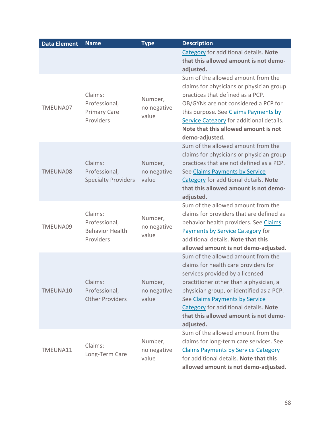| <b>Data Element</b> | <b>Name</b>                                                     | <b>Type</b>                     | <b>Description</b>                                                                                                                                                                                                                                                                                                                   |
|---------------------|-----------------------------------------------------------------|---------------------------------|--------------------------------------------------------------------------------------------------------------------------------------------------------------------------------------------------------------------------------------------------------------------------------------------------------------------------------------|
|                     |                                                                 |                                 | Category for additional details. Note<br>that this allowed amount is not demo-<br>adjusted.                                                                                                                                                                                                                                          |
| TMEUNA07            | Claims:<br>Professional,<br><b>Primary Care</b><br>Providers    | Number,<br>no negative<br>value | Sum of the allowed amount from the<br>claims for physicians or physician group<br>practices that defined as a PCP.<br>OB/GYNs are not considered a PCP for<br>this purpose. See Claims Payments by<br>Service Category for additional details.<br>Note that this allowed amount is not<br>demo-adjusted.                             |
| TMEUNA08            | Claims:<br>Professional,<br><b>Specialty Providers</b>          | Number,<br>no negative<br>value | Sum of the allowed amount from the<br>claims for physicians or physician group<br>practices that are not defined as a PCP.<br>See Claims Payments by Service<br>Category for additional details. Note<br>that this allowed amount is not demo-<br>adjusted.                                                                          |
| TMEUNA09            | Claims:<br>Professional,<br><b>Behavior Health</b><br>Providers | Number,<br>no negative<br>value | Sum of the allowed amount from the<br>claims for providers that are defined as<br>behavior health providers. See Claims<br>Payments by Service Category for<br>additional details. Note that this<br>allowed amount is not demo-adjusted.                                                                                            |
| TMEUNA10            | Claims:<br>Professional,<br><b>Other Providers</b>              | Number,<br>no negative<br>value | Sum of the allowed amount from the<br>claims for health care providers for<br>services provided by a licensed<br>practitioner other than a physician, a<br>physician group, or identified as a PCP.<br>See Claims Payments by Service<br>Category for additional details. Note<br>that this allowed amount is not demo-<br>adjusted. |
| TMEUNA11            | Claims:<br>Long-Term Care                                       | Number,<br>no negative<br>value | Sum of the allowed amount from the<br>claims for long-term care services. See<br><b>Claims Payments by Service Category</b><br>for additional details. Note that this<br>allowed amount is not demo-adjusted.                                                                                                                        |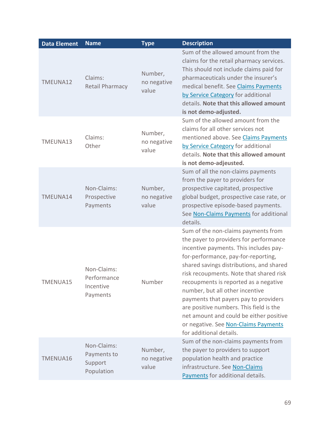| <b>Data Element</b> | <b>Name</b>                                         | <b>Type</b>                     | <b>Description</b>                                                                                                                                                                                                                                                                                                                                                                                                                                                                                                                  |
|---------------------|-----------------------------------------------------|---------------------------------|-------------------------------------------------------------------------------------------------------------------------------------------------------------------------------------------------------------------------------------------------------------------------------------------------------------------------------------------------------------------------------------------------------------------------------------------------------------------------------------------------------------------------------------|
| TMEUNA12            | Claims:<br><b>Retail Pharmacy</b>                   | Number,<br>no negative<br>value | Sum of the allowed amount from the<br>claims for the retail pharmacy services.<br>This should not include claims paid for<br>pharmaceuticals under the insurer's<br>medical benefit. See Claims Payments<br>by Service Category for additional<br>details. Note that this allowed amount<br>is not demo-adjusted.                                                                                                                                                                                                                   |
| TMEUNA13            | Claims:<br>Other                                    | Number,<br>no negative<br>value | Sum of the allowed amount from the<br>claims for all other services not<br>mentioned above. See Claims Payments<br>by Service Category for additional<br>details. Note that this allowed amount<br>is not demo-adjeusted.                                                                                                                                                                                                                                                                                                           |
| TMEUNA14            | Non-Claims:<br>Prospective<br>Payments              | Number,<br>no negative<br>value | Sum of all the non-claims payments<br>from the payer to providers for<br>prospective capitated, prospective<br>global budget, prospective case rate, or<br>prospective episode-based payments.<br>See Non-Claims Payments for additional<br>details.                                                                                                                                                                                                                                                                                |
| TMENUA15            | Non-Claims:<br>Performance<br>Incentive<br>Payments | Number                          | Sum of the non-claims payments from<br>the payer to providers for performance<br>incentive payments. This includes pay-<br>for-performance, pay-for-reporting,<br>shared savings distributions, and shared<br>risk recoupments. Note that shared risk<br>recoupments is reported as a negative<br>number, but all other incentive<br>payments that payers pay to providers<br>are positive numbers. This field is the<br>net amount and could be either positive<br>or negative. See Non-Claims Payments<br>for additional details. |
| TMENUA16            | Non-Claims:<br>Payments to<br>Support<br>Population | Number,<br>no negative<br>value | Sum of the non-claims payments from<br>the payer to providers to support<br>population health and practice<br>infrastructure. See Non-Claims<br>Payments for additional details.                                                                                                                                                                                                                                                                                                                                                    |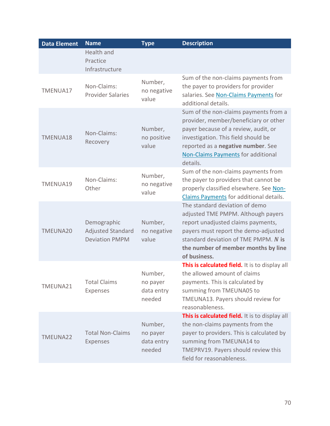| <b>Data Element</b> | <b>Name</b>                                                      | <b>Type</b>                                 | <b>Description</b>                                                                                                                                                                                                                                           |
|---------------------|------------------------------------------------------------------|---------------------------------------------|--------------------------------------------------------------------------------------------------------------------------------------------------------------------------------------------------------------------------------------------------------------|
|                     | Health and<br>Practice<br>Infrastructure                         |                                             |                                                                                                                                                                                                                                                              |
| TMENUA17            | Non-Claims:<br><b>Provider Salaries</b>                          | Number,<br>no negative<br>value             | Sum of the non-claims payments from<br>the payer to providers for provider<br>salaries. See Non-Claims Payments for<br>additional details.                                                                                                                   |
| TMENUA18            | Non-Claims:<br>Recovery                                          | Number,<br>no positive<br>value             | Sum of the non-claims payments from a<br>provider, member/beneficiary or other<br>payer because of a review, audit, or<br>investigation. This field should be<br>reported as a negative number. See<br><b>Non-Claims Payments for additional</b><br>details. |
| TMENUA19            | Non-Claims:<br>Other                                             | Number,<br>no negative<br>value             | Sum of the non-claims payments from<br>the payer to providers that cannot be<br>properly classified elsewhere. See Non-<br>Claims Payments for additional details.                                                                                           |
| TMEUNA20            | Demographic<br><b>Adjusted Standard</b><br><b>Deviation PMPM</b> | Number,<br>no negative<br>value             | The standard deviation of demo<br>adjusted TME PMPM. Although payers<br>report unadjusted claims payments,<br>payers must report the demo-adjusted<br>standard deviation of TME PMPM. N is<br>the number of member months by line<br>of business.            |
| TMEUNA21            | <b>Total Claims</b><br>Expenses                                  | Number,<br>no payer<br>data entry<br>needed | This is calculated field. It is to display all<br>the allowed amount of claims<br>payments. This is calculated by<br>summing from TMEUNA05 to<br>TMEUNA13. Payers should review for<br>reasonableness.                                                       |
| TMEUNA22            | <b>Total Non-Claims</b><br><b>Expenses</b>                       | Number,<br>no payer<br>data entry<br>needed | This is calculated field. It is to display all<br>the non-claims payments from the<br>payer to providers. This is calculated by<br>summing from TMEUNA14 to<br>TMEPRV19. Payers should review this<br>field for reasonableness.                              |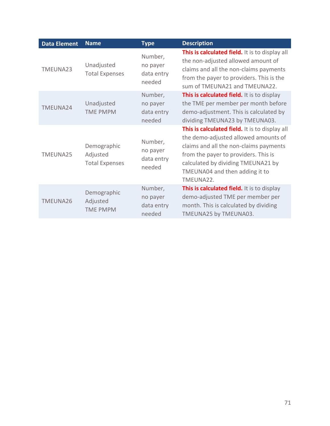| <b>Data Element</b> | <b>Name</b>                                      | <b>Type</b>                                 | <b>Description</b>                                                                                                                                                                                                                                            |
|---------------------|--------------------------------------------------|---------------------------------------------|---------------------------------------------------------------------------------------------------------------------------------------------------------------------------------------------------------------------------------------------------------------|
| TMEUNA23            | Unadjusted<br><b>Total Expenses</b>              | Number,<br>no payer<br>data entry<br>needed | This is calculated field. It is to display all<br>the non-adjusted allowed amount of<br>claims and all the non-claims payments<br>from the payer to providers. This is the<br>sum of TMEUNA21 and TMEUNA22.                                                   |
| TMEUNA24            | Unadjusted<br><b>TME PMPM</b>                    | Number,<br>no payer<br>data entry<br>needed | This is calculated field. It is to display<br>the TME per member per month before<br>demo-adjustment. This is calculated by<br>dividing TMEUNA23 by TMEUNA03.                                                                                                 |
| TMEUNA25            | Demographic<br>Adjusted<br><b>Total Expenses</b> | Number,<br>no payer<br>data entry<br>needed | This is calculated field. It is to display all<br>the demo-adjusted allowed amounts of<br>claims and all the non-claims payments<br>from the payer to providers. This is<br>calculated by dividing TMEUNA21 by<br>TMEUNA04 and then adding it to<br>TMEUNA22. |
| TMEUNA26            | Demographic<br>Adjusted<br><b>TME PMPM</b>       | Number,<br>no payer<br>data entry<br>needed | <b>This is calculated field.</b> It is to display<br>demo-adjusted TME per member per<br>month. This is calculated by dividing<br>TMEUNA25 by TMEUNA03.                                                                                                       |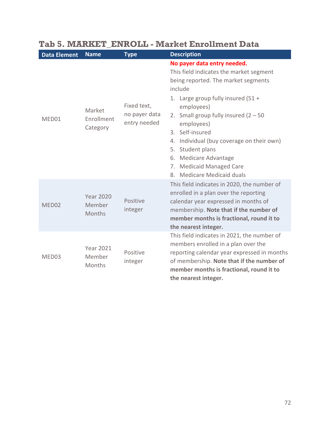| <b>Data Element</b> | <b>Name</b>                          | <b>Type</b>                                  | <b>Description</b>                                                                                                                                                                                                                                                                                                                                                                                               |
|---------------------|--------------------------------------|----------------------------------------------|------------------------------------------------------------------------------------------------------------------------------------------------------------------------------------------------------------------------------------------------------------------------------------------------------------------------------------------------------------------------------------------------------------------|
| MED01               | Market<br>Enrollment<br>Category     | Fixed text,<br>no payer data<br>entry needed | No payer data entry needed.<br>This field indicates the market segment<br>being reported. The market segments<br>include<br>1. Large group fully insured $(51 +$<br>employees)<br>2. Small group fully insured $(2 - 50$<br>employees)<br>3. Self-insured<br>4. Individual (buy coverage on their own)<br>5. Student plans<br>6. Medicare Advantage<br>7. Medicaid Managed Care<br>Medicare Medicaid duals<br>8. |
| MED02               | <b>Year 2020</b><br>Member<br>Months | Positive<br>integer                          | This field indicates in 2020, the number of<br>enrolled in a plan over the reporting<br>calendar year expressed in months of<br>membership. Note that if the number of<br>member months is fractional, round it to<br>the nearest integer.                                                                                                                                                                       |
| MED03               | <b>Year 2021</b><br>Member<br>Months | Positive<br>integer                          | This field indicates in 2021, the number of<br>members enrolled in a plan over the<br>reporting calendar year expressed in months<br>of membership. Note that if the number of<br>member months is fractional, round it to<br>the nearest integer.                                                                                                                                                               |

# **Tab 5. MARKET\_ENROLL - Market Enrollment Data**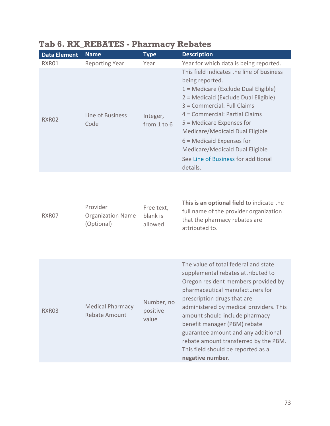| <b>Data Element</b> | <b>Name</b>              | <b>Type</b>                 | <b>Description</b>                                                                                                                                                                                                                                                                                                                                                                                   |
|---------------------|--------------------------|-----------------------------|------------------------------------------------------------------------------------------------------------------------------------------------------------------------------------------------------------------------------------------------------------------------------------------------------------------------------------------------------------------------------------------------------|
| RXR01               | <b>Reporting Year</b>    | Year                        | Year for which data is being reported.                                                                                                                                                                                                                                                                                                                                                               |
| RXR02               | Line of Business<br>Code | Integer,<br>from $1$ to $6$ | This field indicates the line of business<br>being reported.<br>$1 =$ Medicare (Exclude Dual Eligible)<br>2 = Medicaid (Exclude Dual Eligible)<br>3 = Commercial: Full Claims<br>4 = Commercial: Partial Claims<br>5 = Medicare Expenses for<br>Medicare/Medicaid Dual Eligible<br>$6$ = Medicaid Expenses for<br>Medicare/Medicaid Dual Eligible<br>See Line of Business for additional<br>details. |

### **Tab 6. RX\_REBATES - Pharmacy Rebates**

| RXR07 | Provider                 | Free text,<br>blank is | This is an optional field to indicate the |
|-------|--------------------------|------------------------|-------------------------------------------|
|       |                          |                        | full name of the provider organization    |
|       | <b>Organization Name</b> |                        | that the pharmacy rebates are             |
|       | (Optional)               | allowed                |                                           |
|       |                          |                        | attributed to.                            |

| RXR03 | <b>Medical Pharmacy</b><br>Rebate Amount | Number, no<br>positive<br>value | The value of total federal and state<br>supplemental rebates attributed to<br>Oregon resident members provided by<br>pharmaceutical manufacturers for<br>prescription drugs that are<br>administered by medical providers. This<br>amount should include pharmacy<br>benefit manager (PBM) rebate<br>guarantee amount and any additional<br>rebate amount transferred by the PBM.<br>This field should be reported as a<br>negative number. |
|-------|------------------------------------------|---------------------------------|---------------------------------------------------------------------------------------------------------------------------------------------------------------------------------------------------------------------------------------------------------------------------------------------------------------------------------------------------------------------------------------------------------------------------------------------|
|-------|------------------------------------------|---------------------------------|---------------------------------------------------------------------------------------------------------------------------------------------------------------------------------------------------------------------------------------------------------------------------------------------------------------------------------------------------------------------------------------------------------------------------------------------|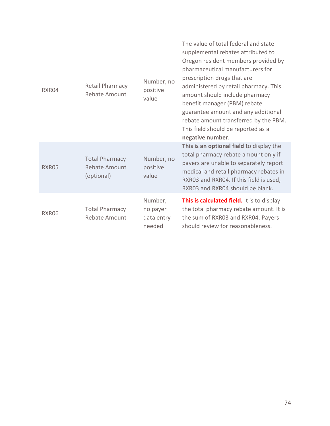| RXR04 | Retail Pharmacy<br><b>Rebate Amount</b>              | Number, no<br>positive<br>value             | The value of total federal and state<br>supplemental rebates attributed to<br>Oregon resident members provided by<br>pharmaceutical manufacturers for<br>prescription drugs that are<br>administered by retail pharmacy. This<br>amount should include pharmacy<br>benefit manager (PBM) rebate<br>guarantee amount and any additional<br>rebate amount transferred by the PBM.<br>This field should be reported as a<br>negative number. |
|-------|------------------------------------------------------|---------------------------------------------|-------------------------------------------------------------------------------------------------------------------------------------------------------------------------------------------------------------------------------------------------------------------------------------------------------------------------------------------------------------------------------------------------------------------------------------------|
| RXR05 | <b>Total Pharmacy</b><br>Rebate Amount<br>(optional) | Number, no<br>positive<br>value             | This is an optional field to display the<br>total pharmacy rebate amount only if<br>payers are unable to separately report<br>medical and retail pharmacy rebates in<br>RXR03 and RXR04. If this field is used,<br>RXR03 and RXR04 should be blank.                                                                                                                                                                                       |
| RXR06 | <b>Total Pharmacy</b><br>Rebate Amount               | Number,<br>no payer<br>data entry<br>needed | This is calculated field. It is to display<br>the total pharmacy rebate amount. It is<br>the sum of RXR03 and RXR04. Payers<br>should review for reasonableness.                                                                                                                                                                                                                                                                          |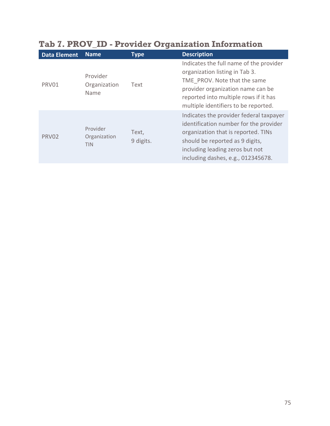| <b>Data Element</b> | <b>Name</b>                            | <b>Type</b>        | <b>Description</b>                                                                                                                                                                                                                   |
|---------------------|----------------------------------------|--------------------|--------------------------------------------------------------------------------------------------------------------------------------------------------------------------------------------------------------------------------------|
| PRV01               | Provider<br>Organization<br>Name       | Text               | Indicates the full name of the provider<br>organization listing in Tab 3.<br>TME PROV. Note that the same<br>provider organization name can be<br>reported into multiple rows if it has<br>multiple identifiers to be reported.      |
| PRV02               | Provider<br>Organization<br><b>TIN</b> | Text,<br>9 digits. | Indicates the provider federal taxpayer<br>identification number for the provider<br>organization that is reported. TINs<br>should be reported as 9 digits,<br>including leading zeros but not<br>including dashes, e.g., 012345678. |

## **Tab 7. PROV\_ID - Provider Organization Information**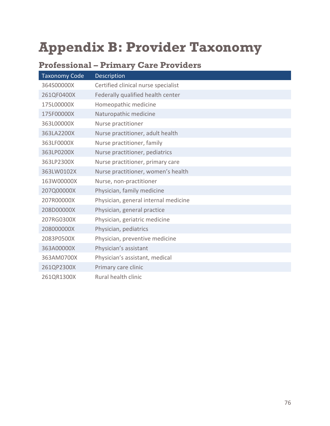# **Appendix B: Provider Taxonomy**

|                      | ---------<br>$\begin{array}{c} \nabla \times \mathbf{H} & \nabla \times \mathbf{H} & \nabla \times \mathbf{H} \nabla \times \mathbf{H} \nabla \times \mathbf{H} \nabla \times \mathbf{H} \nabla \times \mathbf{H} \nabla \times \mathbf{H} \nabla \times \mathbf{H} \nabla \times \mathbf{H} \nabla \times \mathbf{H} \nabla \times \mathbf{H} \nabla \times \mathbf{H} \nabla \times \mathbf{H} \nabla \times \mathbf{H} \nabla \times \mathbf{H} \nabla \times \mathbf{H} \nabla \times \$ |
|----------------------|----------------------------------------------------------------------------------------------------------------------------------------------------------------------------------------------------------------------------------------------------------------------------------------------------------------------------------------------------------------------------------------------------------------------------------------------------------------------------------------------|
| <b>Taxonomy Code</b> | Description                                                                                                                                                                                                                                                                                                                                                                                                                                                                                  |
| 364S00000X           | Certified clinical nurse specialist                                                                                                                                                                                                                                                                                                                                                                                                                                                          |
| 261QF0400X           | Federally qualified health center                                                                                                                                                                                                                                                                                                                                                                                                                                                            |
| 175L00000X           | Homeopathic medicine                                                                                                                                                                                                                                                                                                                                                                                                                                                                         |
| 175F00000X           | Naturopathic medicine                                                                                                                                                                                                                                                                                                                                                                                                                                                                        |
| 363L00000X           | Nurse practitioner                                                                                                                                                                                                                                                                                                                                                                                                                                                                           |
| 363LA2200X           | Nurse practitioner, adult health                                                                                                                                                                                                                                                                                                                                                                                                                                                             |
| 363LF0000X           | Nurse practitioner, family                                                                                                                                                                                                                                                                                                                                                                                                                                                                   |
| 363LP0200X           | Nurse practitioner, pediatrics                                                                                                                                                                                                                                                                                                                                                                                                                                                               |
| 363LP2300X           | Nurse practitioner, primary care                                                                                                                                                                                                                                                                                                                                                                                                                                                             |
| 363LW0102X           | Nurse practitioner, women's health                                                                                                                                                                                                                                                                                                                                                                                                                                                           |
| 163W00000X           | Nurse, non-practitioner                                                                                                                                                                                                                                                                                                                                                                                                                                                                      |
| 207Q00000X           | Physician, family medicine                                                                                                                                                                                                                                                                                                                                                                                                                                                                   |
| 207R00000X           | Physician, general internal medicine                                                                                                                                                                                                                                                                                                                                                                                                                                                         |
| 208D00000X           | Physician, general practice                                                                                                                                                                                                                                                                                                                                                                                                                                                                  |
| 207RG0300X           | Physician, geriatric medicine                                                                                                                                                                                                                                                                                                                                                                                                                                                                |
| 208000000X           | Physician, pediatrics                                                                                                                                                                                                                                                                                                                                                                                                                                                                        |
| 2083P0500X           | Physician, preventive medicine                                                                                                                                                                                                                                                                                                                                                                                                                                                               |
| 363A00000X           | Physician's assistant                                                                                                                                                                                                                                                                                                                                                                                                                                                                        |
| 363AM0700X           | Physician's assistant, medical                                                                                                                                                                                                                                                                                                                                                                                                                                                               |
| 261QP2300X           | Primary care clinic                                                                                                                                                                                                                                                                                                                                                                                                                                                                          |
| 261QR1300X           | Rural health clinic                                                                                                                                                                                                                                                                                                                                                                                                                                                                          |

### **Professional – Primary Care Providers**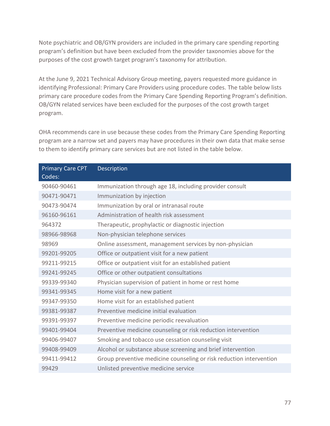Note psychiatric and OB/GYN providers are included in the primary care spending reporting program's definition but have been excluded from the provider taxonomies above for the purposes of the cost growth target program's taxonomy for attribution.

At the June 9, 2021 Technical Advisory Group meeting, payers requested more guidance in identifying Professional: Primary Care Providers using procedure codes. The table below lists primary care procedure codes from the Primary Care Spending Reporting Program's definition. OB/GYN related services have been excluded for the purposes of the cost growth target program.

OHA recommends care in use because these codes from the Primary Care Spending Reporting program are a narrow set and payers may have procedures in their own data that make sense to them to identify primary care services but are not listed in the table below.

| <b>Primary Care CPT</b> | Description                                                         |
|-------------------------|---------------------------------------------------------------------|
| Codes:                  |                                                                     |
| 90460-90461             | Immunization through age 18, including provider consult             |
| 90471-90471             | Immunization by injection                                           |
| 90473-90474             | Immunization by oral or intranasal route                            |
| 96160-96161             | Administration of health risk assessment                            |
| 964372                  | Therapeutic, prophylactic or diagnostic injection                   |
| 98966-98968             | Non-physician telephone services                                    |
| 98969                   | Online assessment, management services by non-physician             |
| 99201-99205             | Office or outpatient visit for a new patient                        |
| 99211-99215             | Office or outpatient visit for an established patient               |
| 99241-99245             | Office or other outpatient consultations                            |
| 99339-99340             | Physician supervision of patient in home or rest home               |
| 99341-99345             | Home visit for a new patient                                        |
| 99347-99350             | Home visit for an established patient                               |
| 99381-99387             | Preventive medicine initial evaluation                              |
| 99391-99397             | Preventive medicine periodic reevaluation                           |
| 99401-99404             | Preventive medicine counseling or risk reduction intervention       |
| 99406-99407             | Smoking and tobacco use cessation counseling visit                  |
| 99408-99409             | Alcohol or substance abuse screening and brief intervention         |
| 99411-99412             | Group preventive medicine counseling or risk reduction intervention |
| 99429                   | Unlisted preventive medicine service                                |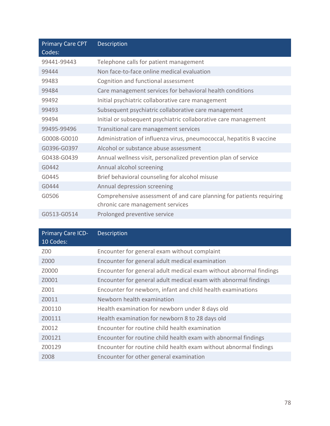| <b>Primary Care CPT</b><br>Codes: | <b>Description</b>                                                                                       |
|-----------------------------------|----------------------------------------------------------------------------------------------------------|
| 99441-99443                       | Telephone calls for patient management                                                                   |
| 99444                             | Non face-to-face online medical evaluation                                                               |
| 99483                             | Cognition and functional assessment                                                                      |
| 99484                             | Care management services for behavioral health conditions                                                |
| 99492                             | Initial psychiatric collaborative care management                                                        |
| 99493                             | Subsequent psychiatric collaborative care management                                                     |
| 99494                             | Initial or subsequent psychiatric collaborative care management                                          |
| 99495-99496                       | Transitional care management services                                                                    |
| G0008-G0010                       | Administration of influenza virus, pneumococcal, hepatitis B vaccine                                     |
| G0396-G0397                       | Alcohol or substance abuse assessment                                                                    |
| G0438-G0439                       | Annual wellness visit, personalized prevention plan of service                                           |
| G0442                             | Annual alcohol screening                                                                                 |
| G0445                             | Brief behavioral counseling for alcohol misuse                                                           |
| G0444                             | Annual depression screening                                                                              |
| G0506                             | Comprehensive assessment of and care planning for patients requiring<br>chronic care management services |
| G0513-G0514                       | Prolonged preventive service                                                                             |

| Primary Care ICD-<br>10 Codes: | Description                                                        |
|--------------------------------|--------------------------------------------------------------------|
| Z00                            | Encounter for general exam without complaint                       |
| Z000                           | Encounter for general adult medical examination                    |
| Z0000                          | Encounter for general adult medical exam without abnormal findings |
| Z0001                          | Encounter for general adult medical exam with abnormal findings    |
| Z001                           | Encounter for newborn, infant and child health examinations        |
| Z0011                          | Newborn health examination                                         |
| Z00110                         | Health examination for newborn under 8 days old                    |
| Z00111                         | Health examination for newborn 8 to 28 days old                    |
| Z0012                          | Encounter for routine child health examination                     |
| Z00121                         | Encounter for routine child health exam with abnormal findings     |
| Z00129                         | Encounter for routine child health exam without abnormal findings  |
| Z008                           | Encounter for other general examination                            |